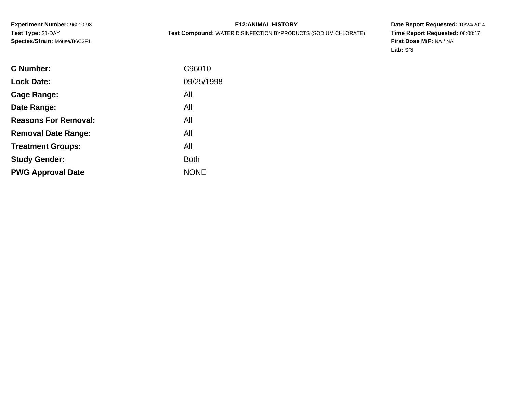# **E12:ANIMAL HISTORY**

**Test Compound:** WATER DISINFECTION BYPRODUCTS (SODIUM CHLORATE)

**Date Report Requested:** 10/24/2014 **Time Report Requested:** 06:08:17**First Dose M/F:** NA / NA**Lab:** SRI

| C96010      |
|-------------|
| 09/25/1998  |
| All         |
| All         |
| All         |
| All         |
| All         |
| <b>Both</b> |
| <b>NONE</b> |
|             |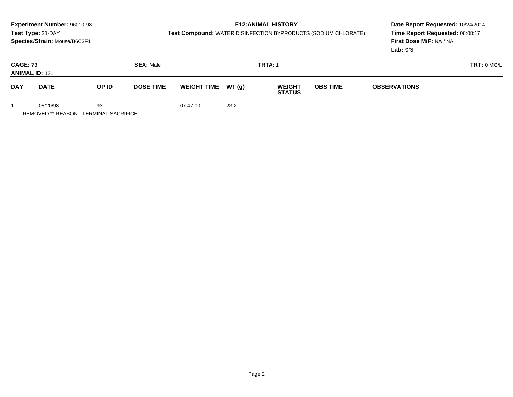# **E12:ANIMAL HISTORY**

**Test Compound:** WATER DISINFECTION BYPRODUCTS (SODIUM CHLORATE)

**Date Report Requested:** 10/24/2014 **Time Report Requested:** 06:08:17**First Dose M/F:** NA / NA**Lab:** SRI

| <b>CAGE: 73</b><br><b>SEX: Male</b><br><b>ANIMAL ID: 121</b> |             |       |                  |                     |      | <b>TRT#: 1</b>                 |                 | TRT: 0 MG/L         |  |
|--------------------------------------------------------------|-------------|-------|------------------|---------------------|------|--------------------------------|-----------------|---------------------|--|
| <b>DAY</b>                                                   | <b>DATE</b> | OP ID | <b>DOSE TIME</b> | WEIGHT TIME $WT(g)$ |      | <b>WEIGHT</b><br><b>STATUS</b> | <b>OBS TIME</b> | <b>OBSERVATIONS</b> |  |
|                                                              | 05/20/98    | 93    |                  | 07:47:00            | 23.2 |                                |                 |                     |  |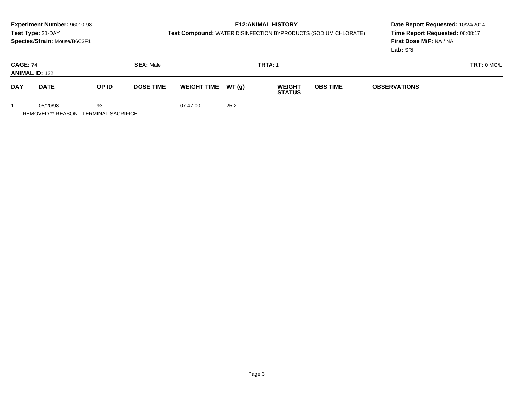# **E12:ANIMAL HISTORY**

**Test Compound:** WATER DISINFECTION BYPRODUCTS (SODIUM CHLORATE)

**Date Report Requested:** 10/24/2014 **Time Report Requested:** 06:08:17**First Dose M/F:** NA / NA**Lab:** SRI

| <b>CAGE: 74</b><br><b>SEX: Male</b><br><b>ANIMAL ID: 122</b> |             |       |                  |                    | <b>TRT#: 1</b> |                                | <b>TRT: 0 MG/L</b> |                     |  |
|--------------------------------------------------------------|-------------|-------|------------------|--------------------|----------------|--------------------------------|--------------------|---------------------|--|
| <b>DAY</b>                                                   | <b>DATE</b> | OP ID | <b>DOSE TIME</b> | <b>WEIGHT TIME</b> | WT(g)          | <b>WEIGHT</b><br><b>STATUS</b> | <b>OBS TIME</b>    | <b>OBSERVATIONS</b> |  |
|                                                              | 05/20/98    | 93    |                  | 07:47:00           | 25.2           |                                |                    |                     |  |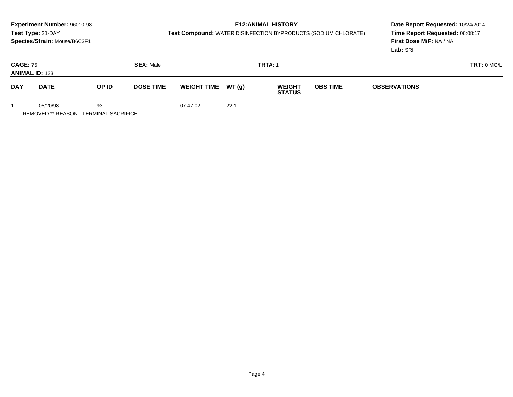# **E12:ANIMAL HISTORY**

**Test Compound:** WATER DISINFECTION BYPRODUCTS (SODIUM CHLORATE)

**Date Report Requested:** 10/24/2014 **Time Report Requested:** 06:08:17**First Dose M/F:** NA / NA**Lab:** SRI

| <b>CAGE: 75</b><br><b>ANIMAL ID: 123</b> |             |       | <b>SEX: Male</b> |                    |        | <b>TRT#: 1</b>                 |                 | <b>TRT: 0 MG/L</b>  |  |
|------------------------------------------|-------------|-------|------------------|--------------------|--------|--------------------------------|-----------------|---------------------|--|
| <b>DAY</b>                               | <b>DATE</b> | OP ID | <b>DOSE TIME</b> | <b>WEIGHT TIME</b> | WT (g) | <b>WEIGHT</b><br><b>STATUS</b> | <b>OBS TIME</b> | <b>OBSERVATIONS</b> |  |
|                                          | 05/20/98    | 93    |                  | 07:47:02           | 22.1   |                                |                 |                     |  |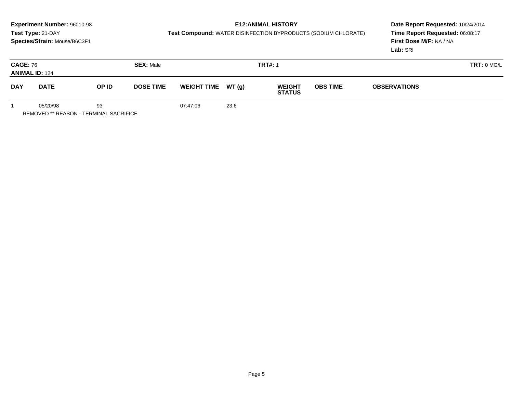# **E12:ANIMAL HISTORY**

**Test Compound:** WATER DISINFECTION BYPRODUCTS (SODIUM CHLORATE)

**Date Report Requested:** 10/24/2014 **Time Report Requested:** 06:08:17**First Dose M/F:** NA / NA**Lab:** SRI

| <b>CAGE: 76</b><br><b>SEX: Male</b><br><b>ANIMAL ID: 124</b> |             |       |                  |                     | <b>TRT#: 1</b> |                                | TRT: 0 MG/L     |                     |  |
|--------------------------------------------------------------|-------------|-------|------------------|---------------------|----------------|--------------------------------|-----------------|---------------------|--|
| <b>DAY</b>                                                   | <b>DATE</b> | OP ID | <b>DOSE TIME</b> | WEIGHT TIME $WT(g)$ |                | <b>WEIGHT</b><br><b>STATUS</b> | <b>OBS TIME</b> | <b>OBSERVATIONS</b> |  |
|                                                              | 05/20/98    | 93    |                  | 07:47:06            | 23.6           |                                |                 |                     |  |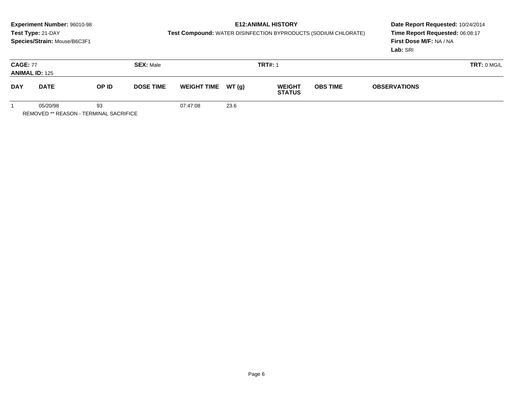# **E12:ANIMAL HISTORY**

**Test Compound:** WATER DISINFECTION BYPRODUCTS (SODIUM CHLORATE)

**Date Report Requested:** 10/24/2014 **Time Report Requested:** 06:08:17**First Dose M/F:** NA / NA**Lab:** SRI

| <b>CAGE: 77</b><br><b>SEX: Male</b><br><b>ANIMAL ID: 125</b> |             |       |                  |                     |      | <b>TRT#: 1</b>                 |                 | TRT: 0 MG/L         |  |
|--------------------------------------------------------------|-------------|-------|------------------|---------------------|------|--------------------------------|-----------------|---------------------|--|
| <b>DAY</b>                                                   | <b>DATE</b> | OP ID | <b>DOSE TIME</b> | WEIGHT TIME $WT(g)$ |      | <b>WEIGHT</b><br><b>STATUS</b> | <b>OBS TIME</b> | <b>OBSERVATIONS</b> |  |
|                                                              | 05/20/98    | 93    |                  | 07:47:08            | 23.6 |                                |                 |                     |  |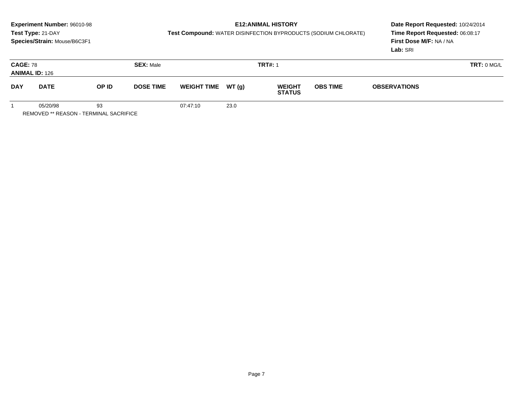# **E12:ANIMAL HISTORY**

**Test Compound:** WATER DISINFECTION BYPRODUCTS (SODIUM CHLORATE)

**Date Report Requested:** 10/24/2014 **Time Report Requested:** 06:08:17**First Dose M/F:** NA / NA**Lab:** SRI

| <b>CAGE: 78</b><br><b>SEX: Male</b><br><b>ANIMAL ID: 126</b> |             |       |                  |                     | <b>TRT#: 1</b> |                                | TRT: 0 MG/L     |                     |  |
|--------------------------------------------------------------|-------------|-------|------------------|---------------------|----------------|--------------------------------|-----------------|---------------------|--|
| <b>DAY</b>                                                   | <b>DATE</b> | OP ID | <b>DOSE TIME</b> | WEIGHT TIME $WT(g)$ |                | <b>WEIGHT</b><br><b>STATUS</b> | <b>OBS TIME</b> | <b>OBSERVATIONS</b> |  |
|                                                              | 05/20/98    | 93    |                  | 07:47:10            | 23.0           |                                |                 |                     |  |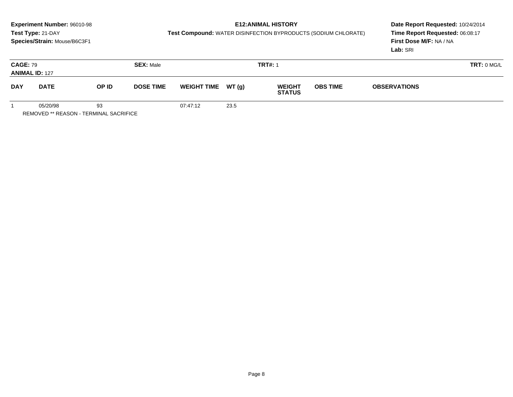# **E12:ANIMAL HISTORY**

**Test Compound:** WATER DISINFECTION BYPRODUCTS (SODIUM CHLORATE)

**Date Report Requested:** 10/24/2014 **Time Report Requested:** 06:08:17**First Dose M/F:** NA / NA**Lab:** SRI

| <b>CAGE: 79</b><br><b>SEX: Male</b><br><b>ANIMAL ID: 127</b> |             |       |                  |                     | <b>TRT#: 1</b> |                                | TRT: 0 MG/L     |                     |  |
|--------------------------------------------------------------|-------------|-------|------------------|---------------------|----------------|--------------------------------|-----------------|---------------------|--|
| <b>DAY</b>                                                   | <b>DATE</b> | OP ID | <b>DOSE TIME</b> | WEIGHT TIME $WT(g)$ |                | <b>WEIGHT</b><br><b>STATUS</b> | <b>OBS TIME</b> | <b>OBSERVATIONS</b> |  |
|                                                              | 05/20/98    | 93    |                  | 07:47:12            | 23.5           |                                |                 |                     |  |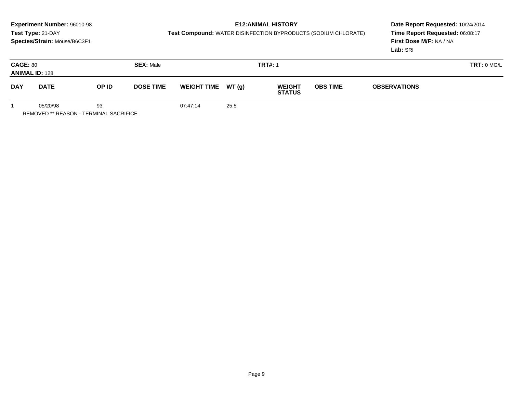# **E12:ANIMAL HISTORY**

**Test Compound:** WATER DISINFECTION BYPRODUCTS (SODIUM CHLORATE)

**Date Report Requested:** 10/24/2014 **Time Report Requested:** 06:08:17**First Dose M/F:** NA / NA**Lab:** SRI

| <b>CAGE: 80</b><br><b>SEX: Male</b><br><b>ANIMAL ID: 128</b> |             |       |                  |                     | <b>TRT#: 1</b> | TRT: 0 MG/L                    |                 |                     |  |
|--------------------------------------------------------------|-------------|-------|------------------|---------------------|----------------|--------------------------------|-----------------|---------------------|--|
| <b>DAY</b>                                                   | <b>DATE</b> | OP ID | <b>DOSE TIME</b> | WEIGHT TIME $WT(g)$ |                | <b>WEIGHT</b><br><b>STATUS</b> | <b>OBS TIME</b> | <b>OBSERVATIONS</b> |  |
|                                                              | 05/20/98    | 93    |                  | 07:47:14            | 25.5           |                                |                 |                     |  |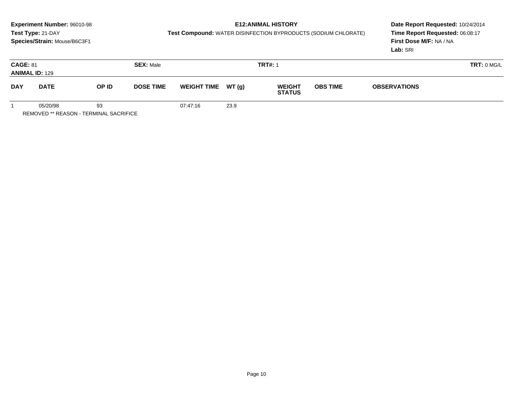# **E12:ANIMAL HISTORY**

**Test Compound:** WATER DISINFECTION BYPRODUCTS (SODIUM CHLORATE)

**Date Report Requested:** 10/24/2014 **Time Report Requested:** 06:08:17**First Dose M/F:** NA / NA**Lab:** SRI

| <b>CAGE: 81</b><br><b>SEX: Male</b><br><b>ANIMAL ID: 129</b> |             |       |                  |                    | <b>TRT#: 1</b> |                                | <b>TRT: 0 MG/L</b> |                     |  |
|--------------------------------------------------------------|-------------|-------|------------------|--------------------|----------------|--------------------------------|--------------------|---------------------|--|
| <b>DAY</b>                                                   | <b>DATE</b> | OP ID | <b>DOSE TIME</b> | <b>WEIGHT TIME</b> | WT(g)          | <b>WEIGHT</b><br><b>STATUS</b> | <b>OBS TIME</b>    | <b>OBSERVATIONS</b> |  |
|                                                              | 05/20/98    | 93    |                  | 07:47:16           | 23.9           |                                |                    |                     |  |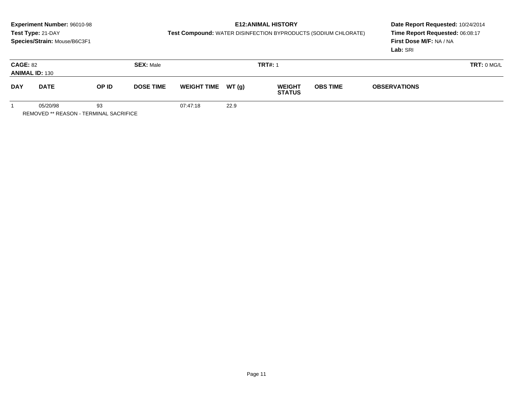# **E12:ANIMAL HISTORY**

**Test Compound:** WATER DISINFECTION BYPRODUCTS (SODIUM CHLORATE)

**Date Report Requested:** 10/24/2014 **Time Report Requested:** 06:08:17**First Dose M/F:** NA / NA**Lab:** SRI

| <b>CAGE: 82</b><br><b>SEX: Male</b><br><b>ANIMAL ID: 130</b> |             |       |                  |                     | <b>TRT#: 1</b> |                                | TRT: 0 MG/L     |                     |  |
|--------------------------------------------------------------|-------------|-------|------------------|---------------------|----------------|--------------------------------|-----------------|---------------------|--|
| <b>DAY</b>                                                   | <b>DATE</b> | OP ID | <b>DOSE TIME</b> | WEIGHT TIME $WT(g)$ |                | <b>WEIGHT</b><br><b>STATUS</b> | <b>OBS TIME</b> | <b>OBSERVATIONS</b> |  |
|                                                              | 05/20/98    | 93    |                  | 07:47:18            | 22.9           |                                |                 |                     |  |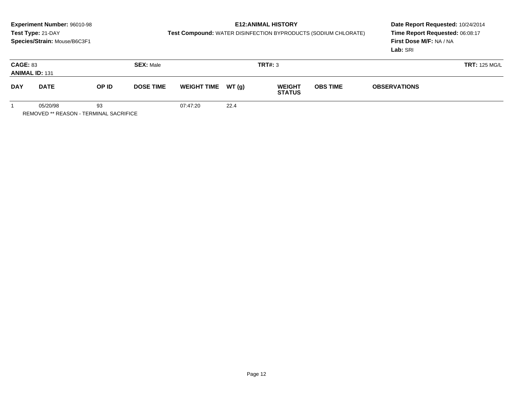# **E12:ANIMAL HISTORY**

**Test Compound:** WATER DISINFECTION BYPRODUCTS (SODIUM CHLORATE)

**Date Report Requested:** 10/24/2014 **Time Report Requested:** 06:08:17**First Dose M/F:** NA / NA**Lab:** SRI

| <b>CAGE: 83</b><br><b>SEX: Male</b><br><b>ANIMAL ID: 131</b> |             |       |                  |                     |      | TRT#: 3                        |                 | <b>TRT: 125 MG/L</b> |  |
|--------------------------------------------------------------|-------------|-------|------------------|---------------------|------|--------------------------------|-----------------|----------------------|--|
| <b>DAY</b>                                                   | <b>DATE</b> | OP ID | <b>DOSE TIME</b> | WEIGHT TIME $WT(g)$ |      | <b>WEIGHT</b><br><b>STATUS</b> | <b>OBS TIME</b> | <b>OBSERVATIONS</b>  |  |
|                                                              | 05/20/98    | 93    |                  | 07:47:20            | 22.4 |                                |                 |                      |  |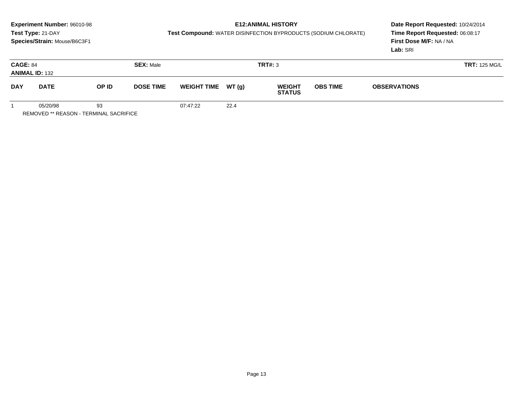# **E12:ANIMAL HISTORY**

**Test Compound:** WATER DISINFECTION BYPRODUCTS (SODIUM CHLORATE)

**Date Report Requested:** 10/24/2014 **Time Report Requested:** 06:08:17**First Dose M/F:** NA / NA**Lab:** SRI

| <b>CAGE: 84</b>           | <b>ANIMAL ID: 132</b> |                           | <b>SEX: Male</b> |                    |               | <b>TRT#: 3</b>                 |                                        | <b>TRT: 125 MG/L</b> |  |
|---------------------------|-----------------------|---------------------------|------------------|--------------------|---------------|--------------------------------|----------------------------------------|----------------------|--|
| <b>DAY</b><br><b>DATE</b> |                       | OP ID<br><b>DOSE TIME</b> |                  | <b>WEIGHT TIME</b> | <b>WT (g)</b> | <b>WEIGHT</b><br><b>STATUS</b> | <b>OBS TIME</b><br><b>OBSERVATIONS</b> |                      |  |
|                           | 05/20/98              | 93                        |                  | 07:47:22           | 22.4          |                                |                                        |                      |  |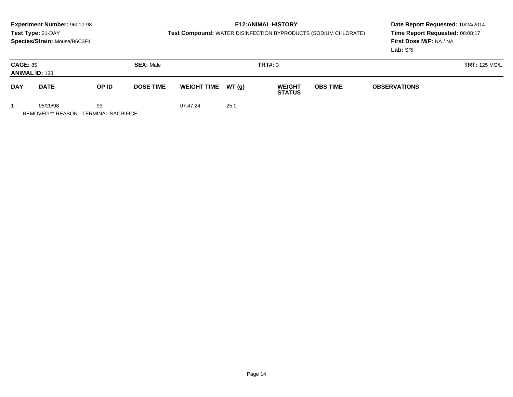# **E12:ANIMAL HISTORY**

**Test Compound:** WATER DISINFECTION BYPRODUCTS (SODIUM CHLORATE)

**Date Report Requested:** 10/24/2014 **Time Report Requested:** 06:08:17**First Dose M/F:** NA / NA**Lab:** SRI

| <b>CAGE: 85</b> | <b>ANIMAL ID: 133</b> |                           | <b>SEX: Male</b> |                     |      | TRT#: 3                        |                 |                     | <b>TRT: 125 MG/L</b> |
|-----------------|-----------------------|---------------------------|------------------|---------------------|------|--------------------------------|-----------------|---------------------|----------------------|
| <b>DAY</b>      | <b>DATE</b>           | OP ID<br><b>DOSE TIME</b> |                  | WEIGHT TIME $WT(g)$ |      | <b>WEIGHT</b><br><b>STATUS</b> | <b>OBS TIME</b> | <b>OBSERVATIONS</b> |                      |
|                 | 05/20/98              | 93                        |                  | 07:47:24            | 25.0 |                                |                 |                     |                      |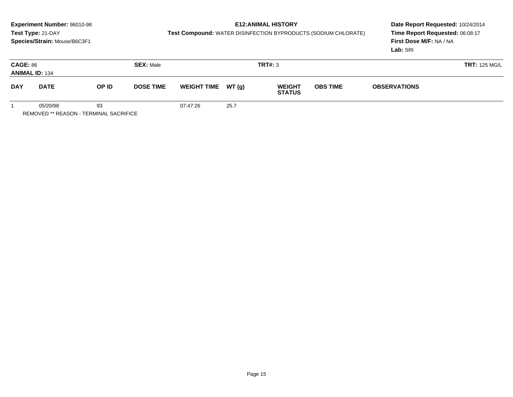# **E12:ANIMAL HISTORY**

**Test Compound:** WATER DISINFECTION BYPRODUCTS (SODIUM CHLORATE)

**Date Report Requested:** 10/24/2014 **Time Report Requested:** 06:08:17**First Dose M/F:** NA / NA**Lab:** SRI

| <b>CAGE: 86</b> | <b>ANIMAL ID: 134</b> |                           | <b>SEX: Male</b> |                    |               | TRT#: 3                        |                                        |  | <b>TRT: 125 MG/L</b> |
|-----------------|-----------------------|---------------------------|------------------|--------------------|---------------|--------------------------------|----------------------------------------|--|----------------------|
| <b>DAY</b>      | <b>DATE</b>           | OP ID<br><b>DOSE TIME</b> |                  | <b>WEIGHT TIME</b> | <b>WT (g)</b> | <b>WEIGHT</b><br><b>STATUS</b> | <b>OBS TIME</b><br><b>OBSERVATIONS</b> |  |                      |
|                 | 05/20/98              | 93                        |                  | 07:47:26           | 25.7          |                                |                                        |  |                      |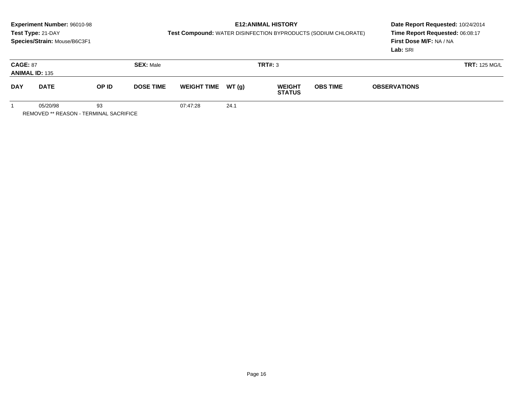# **E12:ANIMAL HISTORY**

**Test Compound:** WATER DISINFECTION BYPRODUCTS (SODIUM CHLORATE)

**Date Report Requested:** 10/24/2014 **Time Report Requested:** 06:08:17**First Dose M/F:** NA / NA**Lab:** SRI

| <b>CAGE: 87</b> | <b>ANIMAL ID: 135</b> |                           | <b>SEX: Male</b> |                    |               | <b>TRT#: 3</b>                 |                 |                     | <b>TRT: 125 MG/L</b> |
|-----------------|-----------------------|---------------------------|------------------|--------------------|---------------|--------------------------------|-----------------|---------------------|----------------------|
| <b>DAY</b>      | <b>DATE</b>           | OP ID<br><b>DOSE TIME</b> |                  | <b>WEIGHT TIME</b> | <b>WT (g)</b> | <b>WEIGHT</b><br><b>STATUS</b> | <b>OBS TIME</b> | <b>OBSERVATIONS</b> |                      |
|                 | 05/20/98              | 93                        |                  | 07:47:28           | 24.1          |                                |                 |                     |                      |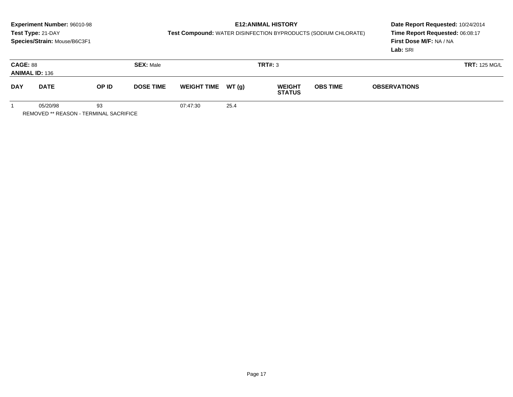# **E12:ANIMAL HISTORY**

**Test Compound:** WATER DISINFECTION BYPRODUCTS (SODIUM CHLORATE)

**Date Report Requested:** 10/24/2014 **Time Report Requested:** 06:08:17**First Dose M/F:** NA / NA**Lab:** SRI

| <b>CAGE: 88</b> | <b>ANIMAL ID: 136</b> |                           | <b>SEX: Male</b> |                    |       | <b>TRT#: 3</b>                 |  | <b>TRT: 125 MG/L</b>                   |  |
|-----------------|-----------------------|---------------------------|------------------|--------------------|-------|--------------------------------|--|----------------------------------------|--|
| <b>DAY</b>      | <b>DATE</b>           | OP ID<br><b>DOSE TIME</b> |                  | <b>WEIGHT TIME</b> | WT(g) | <b>WEIGHT</b><br><b>STATUS</b> |  | <b>OBS TIME</b><br><b>OBSERVATIONS</b> |  |
|                 | 05/20/98              | 93                        |                  | 07:47:30           | 25.4  |                                |  |                                        |  |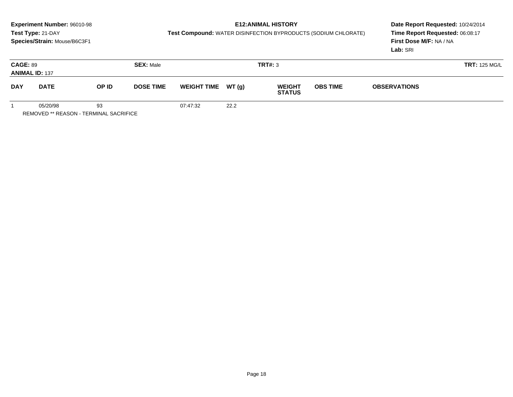# **E12:ANIMAL HISTORY**

**Test Compound:** WATER DISINFECTION BYPRODUCTS (SODIUM CHLORATE)

**Date Report Requested:** 10/24/2014 **Time Report Requested:** 06:08:17**First Dose M/F:** NA / NA**Lab:** SRI

| <b>CAGE: 89</b>           | <b>ANIMAL ID: 137</b> |                           | <b>SEX: Male</b> | TRT#: 3            |        |                                |                 |                     |  |  |
|---------------------------|-----------------------|---------------------------|------------------|--------------------|--------|--------------------------------|-----------------|---------------------|--|--|
| <b>DAY</b><br><b>DATE</b> |                       | OP ID<br><b>DOSE TIME</b> |                  | <b>WEIGHT TIME</b> | WT (g) | <b>WEIGHT</b><br><b>STATUS</b> | <b>OBS TIME</b> | <b>OBSERVATIONS</b> |  |  |
|                           | 05/20/98              | 93                        |                  | 07:47:32           | 22.2   |                                |                 |                     |  |  |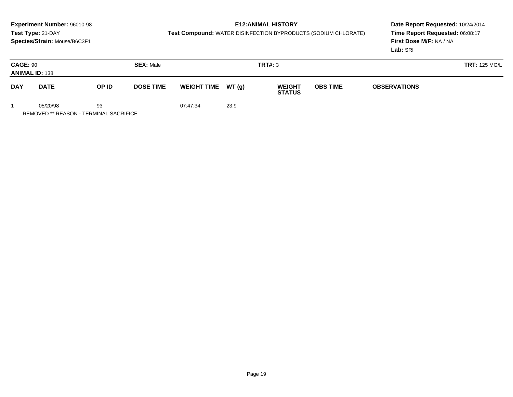# **E12:ANIMAL HISTORY**

**Test Compound:** WATER DISINFECTION BYPRODUCTS (SODIUM CHLORATE)

**Date Report Requested:** 10/24/2014 **Time Report Requested:** 06:08:17**First Dose M/F:** NA / NA**Lab:** SRI

| <b>CAGE: 90</b> | <b>ANIMAL ID: 138</b> |                           | <b>SEX: Male</b> |                    |       | <b>TRT#: 3</b>                 |                                        |  | <b>TRT: 125 MG/L</b> |
|-----------------|-----------------------|---------------------------|------------------|--------------------|-------|--------------------------------|----------------------------------------|--|----------------------|
| <b>DAY</b>      | <b>DATE</b>           | OP ID<br><b>DOSE TIME</b> |                  | <b>WEIGHT TIME</b> | WT(g) | <b>WEIGHT</b><br><b>STATUS</b> | <b>OBS TIME</b><br><b>OBSERVATIONS</b> |  |                      |
|                 | 05/20/98              | 93                        |                  | 07:47:34           | 23.9  |                                |                                        |  |                      |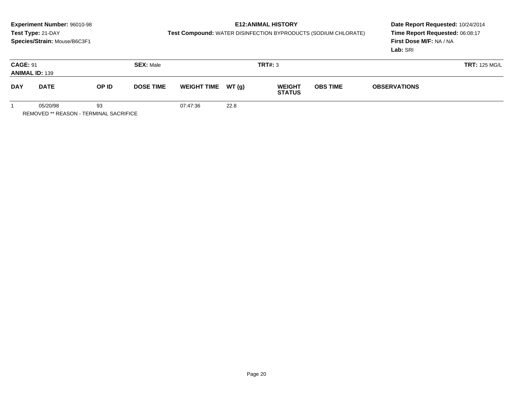## **E12:ANIMAL HISTORY**

**Test Compound:** WATER DISINFECTION BYPRODUCTS (SODIUM CHLORATE)

**Date Report Requested:** 10/24/2014 **Time Report Requested:** 06:08:17**First Dose M/F:** NA / NA**Lab:** SRI

| <b>CAGE: 91</b> | <b>ANIMAL ID: 139</b> |                           | <b>SEX: Male</b> |                     |      | TRT#: 3                                           |  |                     | <b>TRT: 125 MG/L</b> |
|-----------------|-----------------------|---------------------------|------------------|---------------------|------|---------------------------------------------------|--|---------------------|----------------------|
| <b>DAY</b>      | <b>DATE</b>           | OP ID<br><b>DOSE TIME</b> |                  | WEIGHT TIME $WT(g)$ |      | <b>OBS TIME</b><br><b>WEIGHT</b><br><b>STATUS</b> |  | <b>OBSERVATIONS</b> |                      |
|                 | 05/20/98              | 93                        |                  | 07:47:36            | 22.8 |                                                   |  |                     |                      |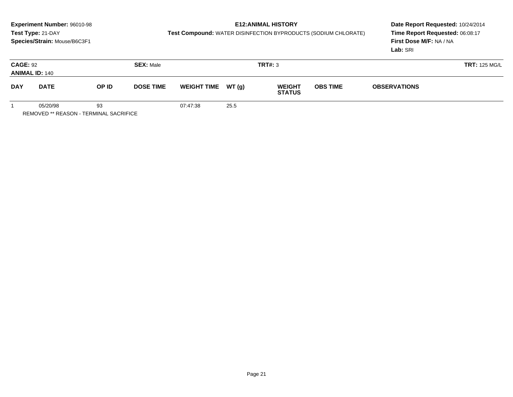# **E12:ANIMAL HISTORY**

**Test Compound:** WATER DISINFECTION BYPRODUCTS (SODIUM CHLORATE)

**Date Report Requested:** 10/24/2014 **Time Report Requested:** 06:08:17**First Dose M/F:** NA / NA**Lab:** SRI

| <b>CAGE: 92</b>           | <b>ANIMAL ID: 140</b> |                           | <b>SEX: Male</b> |          |                                                       | TRT#: 3 |  | <b>TRT: 125 MG/L</b> |  |
|---------------------------|-----------------------|---------------------------|------------------|----------|-------------------------------------------------------|---------|--|----------------------|--|
| <b>DAY</b><br><b>DATE</b> |                       | OP ID<br><b>DOSE TIME</b> |                  |          | WEIGHT TIME $WT(g)$<br><b>WEIGHT</b><br><b>STATUS</b> |         |  | <b>OBSERVATIONS</b>  |  |
|                           | 05/20/98              | 93                        |                  | 07:47:38 | 25.5                                                  |         |  |                      |  |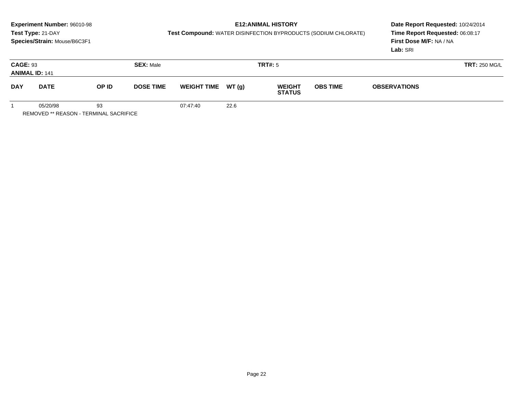# **E12:ANIMAL HISTORY**

**Test Compound:** WATER DISINFECTION BYPRODUCTS (SODIUM CHLORATE)

**Date Report Requested:** 10/24/2014 **Time Report Requested:** 06:08:17**First Dose M/F:** NA / NA**Lab:** SRI

| <b>CAGE: 93</b><br><b>ANIMAL ID: 141</b> |          |       | <b>SEX: Male</b> | <b>TRT#: 5</b>     |       |                                |                 | <b>TRT: 250 MG/L</b> |  |  |
|------------------------------------------|----------|-------|------------------|--------------------|-------|--------------------------------|-----------------|----------------------|--|--|
| <b>DAY</b><br><b>DATE</b>                |          | OP ID | <b>DOSE TIME</b> | <b>WEIGHT TIME</b> | WT(g) | <b>WEIGHT</b><br><b>STATUS</b> | <b>OBS TIME</b> | <b>OBSERVATIONS</b>  |  |  |
|                                          | 05/20/98 | 93    |                  | 07:47:40           | 22.6  |                                |                 |                      |  |  |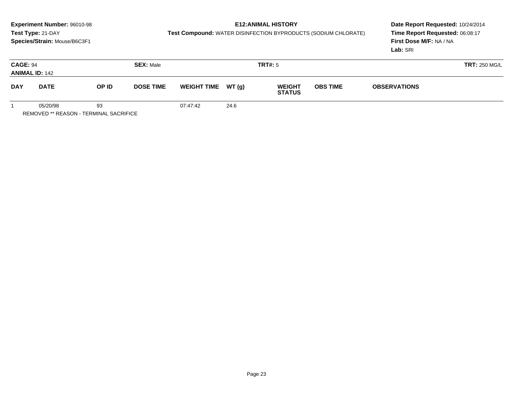# **E12:ANIMAL HISTORY**

**Test Compound:** WATER DISINFECTION BYPRODUCTS (SODIUM CHLORATE)

**Date Report Requested:** 10/24/2014 **Time Report Requested:** 06:08:17**First Dose M/F:** NA / NA**Lab:** SRI

| <b>CAGE: 94</b><br><b>ANIMAL ID: 142</b> |          | <b>SEX: Male</b> |                  |                     | TRT#: 5 |                                |                 | <b>TRT: 250 MG/L</b> |  |  |
|------------------------------------------|----------|------------------|------------------|---------------------|---------|--------------------------------|-----------------|----------------------|--|--|
| <b>DAY</b><br><b>DATE</b>                |          | OP ID            | <b>DOSE TIME</b> | WEIGHT TIME $WT(g)$ |         | <b>WEIGHT</b><br><b>STATUS</b> | <b>OBS TIME</b> | <b>OBSERVATIONS</b>  |  |  |
|                                          | 05/20/98 | 93               |                  | 07:47:42            | 24.6    |                                |                 |                      |  |  |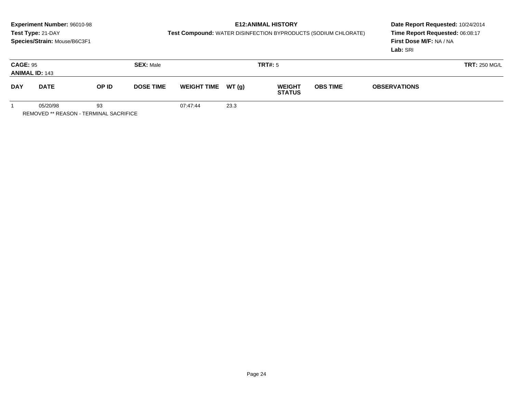# **E12:ANIMAL HISTORY**

**Test Compound:** WATER DISINFECTION BYPRODUCTS (SODIUM CHLORATE)

**Date Report Requested:** 10/24/2014 **Time Report Requested:** 06:08:17**First Dose M/F:** NA / NA**Lab:** SRI

| <b>CAGE: 95</b><br><b>ANIMAL ID: 143</b> |             |                           | <b>SEX: Male</b> | <b>TRT#: 5</b>                                        |      |  | <b>TRT: 250 MG/L</b> |                     |  |
|------------------------------------------|-------------|---------------------------|------------------|-------------------------------------------------------|------|--|----------------------|---------------------|--|
| <b>DAY</b>                               | <b>DATE</b> | OP ID<br><b>DOSE TIME</b> |                  | WEIGHT TIME $WT(g)$<br><b>WEIGHT</b><br><b>STATUS</b> |      |  | <b>OBS TIME</b>      | <b>OBSERVATIONS</b> |  |
|                                          | 05/20/98    | 93                        |                  | 07:47:44                                              | 23.3 |  |                      |                     |  |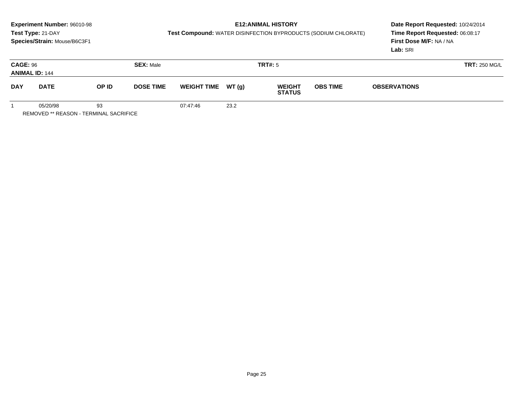# **E12:ANIMAL HISTORY**

**Test Compound:** WATER DISINFECTION BYPRODUCTS (SODIUM CHLORATE)

**Date Report Requested:** 10/24/2014 **Time Report Requested:** 06:08:17**First Dose M/F:** NA / NA**Lab:** SRI

| <b>CAGE: 96</b><br><b>ANIMAL ID: 144</b> |             |                           | <b>SEX: Male</b> |          |                                                       | TRT#: 5 |  | <b>TRT: 250 MG/L</b> |  |
|------------------------------------------|-------------|---------------------------|------------------|----------|-------------------------------------------------------|---------|--|----------------------|--|
| <b>DAY</b>                               | <b>DATE</b> | OP ID<br><b>DOSE TIME</b> |                  |          | WEIGHT TIME $WT(g)$<br><b>WEIGHT</b><br><b>STATUS</b> |         |  | <b>OBSERVATIONS</b>  |  |
|                                          | 05/20/98    | 93                        |                  | 07:47:46 | 23.2                                                  |         |  |                      |  |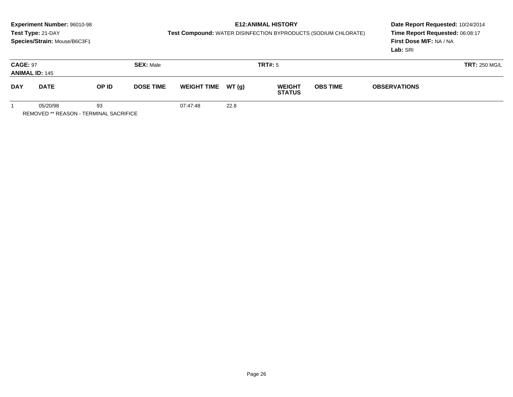# **E12:ANIMAL HISTORY**

**Test Compound:** WATER DISINFECTION BYPRODUCTS (SODIUM CHLORATE)

**Date Report Requested:** 10/24/2014 **Time Report Requested:** 06:08:17**First Dose M/F:** NA / NA**Lab:** SRI

| <b>CAGE: 97</b> | <b>ANIMAL ID: 145</b> |                           | <b>SEX: Male</b> |          |                                                       | TRT#: 5 |  | <b>TRT: 250 MG/L</b> |  |
|-----------------|-----------------------|---------------------------|------------------|----------|-------------------------------------------------------|---------|--|----------------------|--|
| <b>DAY</b>      | <b>DATE</b>           | OP ID<br><b>DOSE TIME</b> |                  |          | WEIGHT TIME $WT(g)$<br><b>WEIGHT</b><br><b>STATUS</b> |         |  | <b>OBSERVATIONS</b>  |  |
|                 | 05/20/98              | 93                        |                  | 07:47:48 | 22.8                                                  |         |  |                      |  |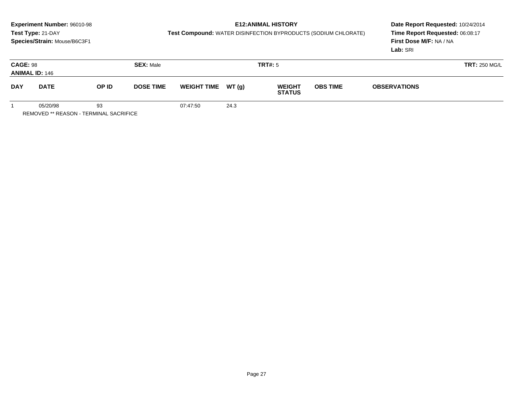# **E12:ANIMAL HISTORY**

**Test Compound:** WATER DISINFECTION BYPRODUCTS (SODIUM CHLORATE)

**Date Report Requested:** 10/24/2014 **Time Report Requested:** 06:08:17**First Dose M/F:** NA / NA**Lab:** SRI

| <b>CAGE: 98</b><br><b>ANIMAL ID: 146</b> |             |       | <b>SEX: Male</b> |                    |        | <b>TRT#: 5</b>                 | <b>TRT: 250 MG/L</b>                   |  |  |
|------------------------------------------|-------------|-------|------------------|--------------------|--------|--------------------------------|----------------------------------------|--|--|
| <b>DAY</b>                               | <b>DATE</b> | OP ID | <b>DOSE TIME</b> | <b>WEIGHT TIME</b> | WT (g) | <b>WEIGHT</b><br><b>STATUS</b> | <b>OBS TIME</b><br><b>OBSERVATIONS</b> |  |  |
|                                          | 05/20/98    | 93    |                  | 07:47:50           | 24.3   |                                |                                        |  |  |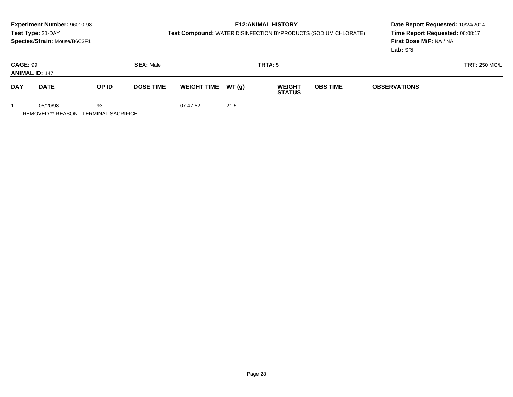# **E12:ANIMAL HISTORY**

**Test Compound:** WATER DISINFECTION BYPRODUCTS (SODIUM CHLORATE)

**Date Report Requested:** 10/24/2014 **Time Report Requested:** 06:08:17**First Dose M/F:** NA / NA**Lab:** SRI

| <b>CAGE: 99</b><br><b>ANIMAL ID: 147</b> |             |                           | <b>SEX: Male</b> |                     |      | <b>TRT#: 5</b>                 |                                        |  | <b>TRT: 250 MG/L</b> |
|------------------------------------------|-------------|---------------------------|------------------|---------------------|------|--------------------------------|----------------------------------------|--|----------------------|
| <b>DAY</b>                               | <b>DATE</b> | OP ID<br><b>DOSE TIME</b> |                  | WEIGHT TIME $WT(g)$ |      | <b>WEIGHT</b><br><b>STATUS</b> | <b>OBS TIME</b><br><b>OBSERVATIONS</b> |  |                      |
|                                          | 05/20/98    | 93                        |                  | 07:47:52            | 21.5 |                                |                                        |  |                      |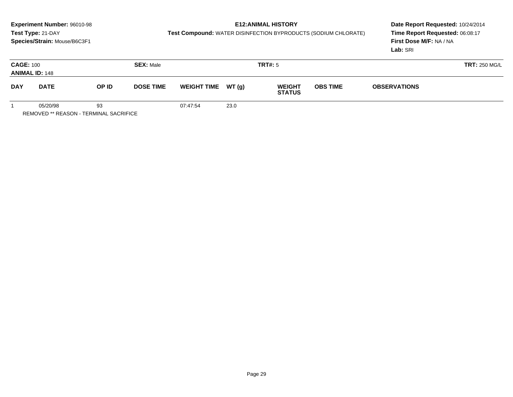# **E12:ANIMAL HISTORY**

**Test Compound:** WATER DISINFECTION BYPRODUCTS (SODIUM CHLORATE)

**Date Report Requested:** 10/24/2014 **Time Report Requested:** 06:08:17**First Dose M/F:** NA / NA**Lab:** SRI

| <b>CAGE: 100</b><br><b>ANIMAL ID: 148</b> |             |       | <b>SEX: Male</b> |                    |               | <b>TRT#: 5</b>                 |                                        | <b>TRT: 250 MG/L</b> |  |
|-------------------------------------------|-------------|-------|------------------|--------------------|---------------|--------------------------------|----------------------------------------|----------------------|--|
| <b>DAY</b>                                | <b>DATE</b> | OP ID | <b>DOSE TIME</b> | <b>WEIGHT TIME</b> | <b>WT (g)</b> | <b>WEIGHT</b><br><b>STATUS</b> | <b>OBS TIME</b><br><b>OBSERVATIONS</b> |                      |  |
|                                           | 05/20/98    | 93    |                  | 07:47:54           | 23.0          |                                |                                        |                      |  |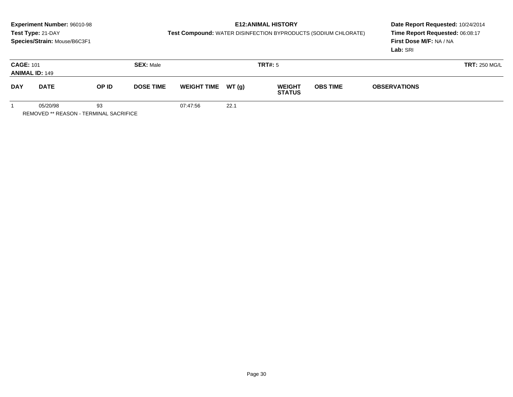# **E12:ANIMAL HISTORY**

**Test Compound:** WATER DISINFECTION BYPRODUCTS (SODIUM CHLORATE)

**Date Report Requested:** 10/24/2014 **Time Report Requested:** 06:08:17**First Dose M/F:** NA / NA**Lab:** SRI

| <b>CAGE: 101</b> | <b>ANIMAL ID: 149</b> |                           | <b>SEX: Male</b> |                                                       |      | TRT#: 5 |                 | <b>TRT: 250 MG/L</b> |  |
|------------------|-----------------------|---------------------------|------------------|-------------------------------------------------------|------|---------|-----------------|----------------------|--|
| <b>DAY</b>       | <b>DATE</b>           | OP ID<br><b>DOSE TIME</b> |                  | WEIGHT TIME $WT(g)$<br><b>WEIGHT</b><br><b>STATUS</b> |      |         | <b>OBS TIME</b> | <b>OBSERVATIONS</b>  |  |
|                  | 05/20/98              | 93                        |                  | 07:47:56                                              | 22.1 |         |                 |                      |  |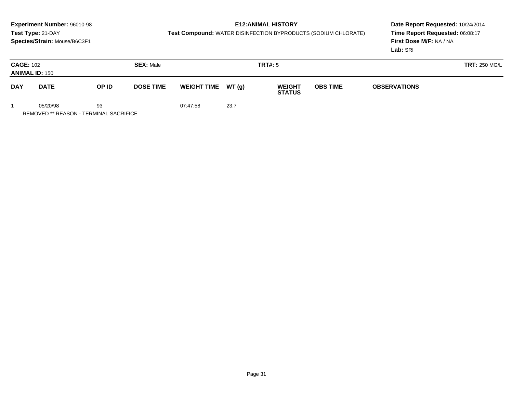# **E12:ANIMAL HISTORY**

**Test Compound:** WATER DISINFECTION BYPRODUCTS (SODIUM CHLORATE)

**Date Report Requested:** 10/24/2014 **Time Report Requested:** 06:08:17**First Dose M/F:** NA / NA**Lab:** SRI

| <b>CAGE: 102</b><br><b>ANIMAL ID: 150</b> |             |       | <b>SEX: Male</b> |                     |      | TRT#: 5                        |                 | <b>TRT: 250 MG/L</b> |  |  |
|-------------------------------------------|-------------|-------|------------------|---------------------|------|--------------------------------|-----------------|----------------------|--|--|
| <b>DAY</b>                                | <b>DATE</b> | OP ID | <b>DOSE TIME</b> | WEIGHT TIME $WT(g)$ |      | <b>WEIGHT</b><br><b>STATUS</b> | <b>OBS TIME</b> | <b>OBSERVATIONS</b>  |  |  |
|                                           | 05/20/98    | 93    |                  | 07:47:58            | 23.7 |                                |                 |                      |  |  |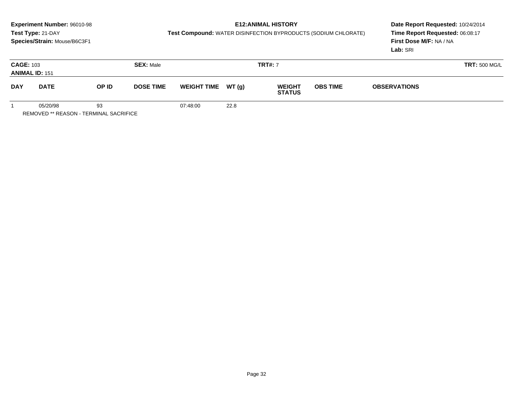# **E12:ANIMAL HISTORY**

**Test Compound:** WATER DISINFECTION BYPRODUCTS (SODIUM CHLORATE)

**Date Report Requested:** 10/24/2014 **Time Report Requested:** 06:08:17**First Dose M/F:** NA / NA**Lab:** SRI

| <b>CAGE: 103</b><br><b>ANIMAL ID: 151</b> |          |                  | <b>SEX: Male</b>            | <b>TRT#: 7</b> |                                |                 |  | <b>TRT: 500 MG/L</b> |  |  |
|-------------------------------------------|----------|------------------|-----------------------------|----------------|--------------------------------|-----------------|--|----------------------|--|--|
| <b>DAY</b><br>OP ID<br><b>DATE</b>        |          | <b>DOSE TIME</b> | WT(g)<br><b>WEIGHT TIME</b> |                | <b>WEIGHT</b><br><b>STATUS</b> | <b>OBS TIME</b> |  |                      |  |  |
|                                           | 05/20/98 | 93               |                             | 07:48:00       | 22.8                           |                 |  |                      |  |  |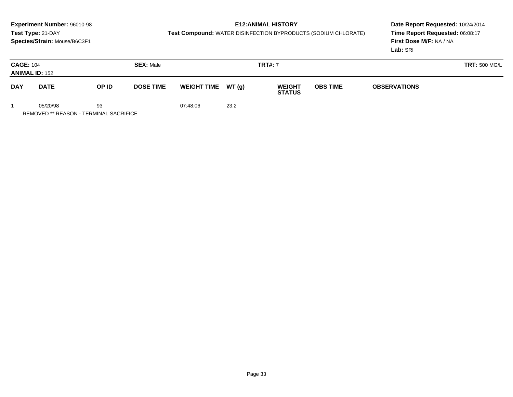# **E12:ANIMAL HISTORY**

**Test Compound:** WATER DISINFECTION BYPRODUCTS (SODIUM CHLORATE)

**Date Report Requested:** 10/24/2014 **Time Report Requested:** 06:08:17**First Dose M/F:** NA / NA**Lab:** SRI

| <b>CAGE: 104</b><br><b>ANIMAL ID: 152</b> |                      |    | <b>SEX: Male</b> | <b>TRT#: 7</b>                               |      |               |                 |                     | <b>TRT: 500 MG/L</b> |
|-------------------------------------------|----------------------|----|------------------|----------------------------------------------|------|---------------|-----------------|---------------------|----------------------|
| <b>DAY</b>                                | OP ID<br><b>DATE</b> |    | <b>DOSE TIME</b> | WT(g)<br><b>WEIGHT TIME</b><br><b>WEIGHT</b> |      | <b>STATUS</b> | <b>OBS TIME</b> | <b>OBSERVATIONS</b> |                      |
|                                           | 05/20/98             | 93 |                  | 07:48:06                                     | 23.2 |               |                 |                     |                      |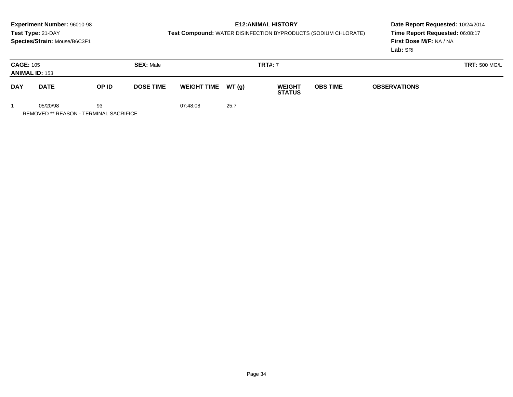# **E12:ANIMAL HISTORY**

**Test Compound:** WATER DISINFECTION BYPRODUCTS (SODIUM CHLORATE)

**Date Report Requested:** 10/24/2014 **Time Report Requested:** 06:08:17**First Dose M/F:** NA / NA**Lab:** SRI

| <b>CAGE: 105</b><br><b>ANIMAL ID: 153</b> |                      |    | <b>SEX: Male</b> | <b>TRT#: 7</b>     |       |                                |                 | <b>TRT: 500 MG/L</b> |  |  |
|-------------------------------------------|----------------------|----|------------------|--------------------|-------|--------------------------------|-----------------|----------------------|--|--|
| <b>DAY</b>                                | OP ID<br><b>DATE</b> |    | <b>DOSE TIME</b> | <b>WEIGHT TIME</b> | WT(g) | <b>WEIGHT</b><br><b>STATUS</b> | <b>OBS TIME</b> | <b>OBSERVATIONS</b>  |  |  |
|                                           | 05/20/98             | 93 |                  | 07:48:08           | 25.7  |                                |                 |                      |  |  |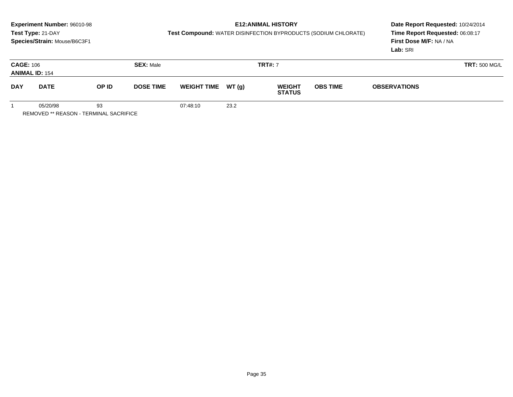# **E12:ANIMAL HISTORY**

**Test Compound:** WATER DISINFECTION BYPRODUCTS (SODIUM CHLORATE)

**Date Report Requested:** 10/24/2014 **Time Report Requested:** 06:08:17**First Dose M/F:** NA / NA**Lab:** SRI

| <b>CAGE: 106</b><br><b>ANIMAL ID: 154</b> |          |                  | <b>SEX: Male</b>   | <b>TRT#: 7</b> |                                |                 |                     | <b>TRT: 500 MG/L</b> |  |  |
|-------------------------------------------|----------|------------------|--------------------|----------------|--------------------------------|-----------------|---------------------|----------------------|--|--|
| <b>DAY</b><br>OP ID<br><b>DATE</b>        |          | <b>DOSE TIME</b> | <b>WEIGHT TIME</b> | WT(g)          | <b>WEIGHT</b><br><b>STATUS</b> | <b>OBS TIME</b> | <b>OBSERVATIONS</b> |                      |  |  |
|                                           | 05/20/98 | 93               |                    | 07:48:10       | 23.2                           |                 |                     |                      |  |  |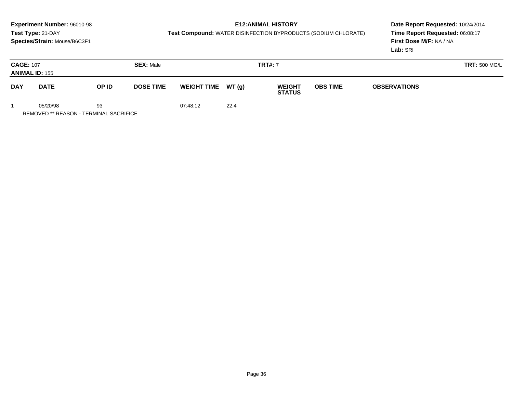# **E12:ANIMAL HISTORY**

**Test Compound:** WATER DISINFECTION BYPRODUCTS (SODIUM CHLORATE)

**Date Report Requested:** 10/24/2014 **Time Report Requested:** 06:08:17**First Dose M/F:** NA / NA**Lab:** SRI

| <b>CAGE: 107</b> | <b>ANIMAL ID: 155</b> |       | <b>SEX: Male</b> |                    |      | <b>TRT#: 7</b>                           |  | <b>TRT: 500 MG/L</b> |  |  |
|------------------|-----------------------|-------|------------------|--------------------|------|------------------------------------------|--|----------------------|--|--|
| <b>DAY</b>       | <b>DATE</b>           | OP ID | <b>DOSE TIME</b> | <b>WEIGHT TIME</b> |      | WT (g)<br><b>WEIGHT</b><br><b>STATUS</b> |  | <b>OBSERVATIONS</b>  |  |  |
|                  | 05/20/98              | 93    |                  | 07:48:12           | 22.4 |                                          |  |                      |  |  |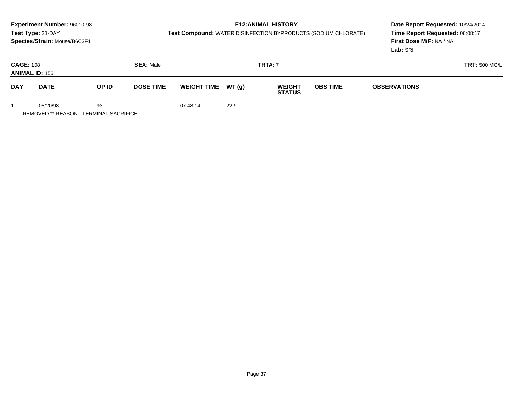# **E12:ANIMAL HISTORY**

**Test Compound:** WATER DISINFECTION BYPRODUCTS (SODIUM CHLORATE)

**Date Report Requested:** 10/24/2014 **Time Report Requested:** 06:08:17**First Dose M/F:** NA / NA**Lab:** SRI

| <b>CAGE: 108</b><br><b>ANIMAL ID: 156</b> |          |                           | <b>SEX: Male</b> |                    |        | <b>TRT#: 7</b>                 |                 | <b>TRT: 500 MG/L</b> |  |  |
|-------------------------------------------|----------|---------------------------|------------------|--------------------|--------|--------------------------------|-----------------|----------------------|--|--|
| <b>DAY</b><br><b>DATE</b>                 |          | <b>DOSE TIME</b><br>OP ID |                  | <b>WEIGHT TIME</b> | WT (g) | <b>WEIGHT</b><br><b>STATUS</b> | <b>OBS TIME</b> | <b>OBSERVATIONS</b>  |  |  |
|                                           | 05/20/98 | 93                        |                  | 07:48:14           | 22.9   |                                |                 |                      |  |  |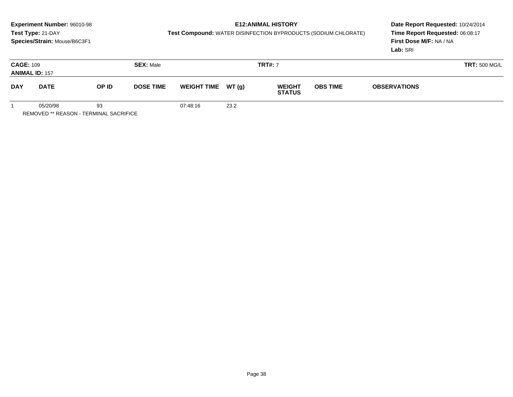# **E12:ANIMAL HISTORY**

**Test Compound:** WATER DISINFECTION BYPRODUCTS (SODIUM CHLORATE)

**Date Report Requested:** 10/24/2014 **Time Report Requested:** 06:08:17**First Dose M/F:** NA / NA**Lab:** SRI

| <b>CAGE: 109</b><br><b>ANIMAL ID: 157</b> |          |                           | <b>SEX: Male</b> |          |                                                               | <b>TRT#: 7</b> |  |                     | <b>TRT: 500 MG/L</b> |
|-------------------------------------------|----------|---------------------------|------------------|----------|---------------------------------------------------------------|----------------|--|---------------------|----------------------|
| <b>DAY</b><br><b>DATE</b>                 |          | OP ID<br><b>DOSE TIME</b> |                  |          | WT(g)<br><b>WEIGHT</b><br><b>WEIGHT TIME</b><br><b>STATUS</b> |                |  | <b>OBSERVATIONS</b> |                      |
|                                           | 05/20/98 | 93                        |                  | 07:48:16 | 23.2                                                          |                |  |                     |                      |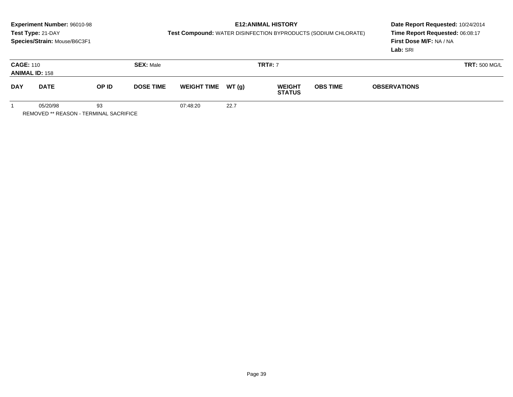# **E12:ANIMAL HISTORY**

**Test Compound:** WATER DISINFECTION BYPRODUCTS (SODIUM CHLORATE)

**Date Report Requested:** 10/24/2014 **Time Report Requested:** 06:08:17**First Dose M/F:** NA / NA**Lab:** SRI

| <b>CAGE: 110</b><br><b>ANIMAL ID: 158</b> |          |                           | <b>SEX: Male</b> |                    |       | <b>TRT#: 7</b>                 |                 |                     | <b>TRT: 500 MG/L</b> |
|-------------------------------------------|----------|---------------------------|------------------|--------------------|-------|--------------------------------|-----------------|---------------------|----------------------|
| <b>DAY</b><br><b>DATE</b>                 |          | OP ID<br><b>DOSE TIME</b> |                  | <b>WEIGHT TIME</b> | WT(g) | <b>WEIGHT</b><br><b>STATUS</b> | <b>OBS TIME</b> | <b>OBSERVATIONS</b> |                      |
|                                           | 05/20/98 | 93                        |                  | 07:48:20           | 22.7  |                                |                 |                     |                      |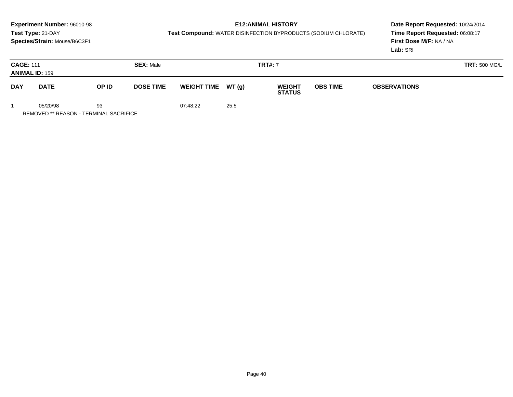# **E12:ANIMAL HISTORY**

**Test Compound:** WATER DISINFECTION BYPRODUCTS (SODIUM CHLORATE)

**Date Report Requested:** 10/24/2014 **Time Report Requested:** 06:08:17**First Dose M/F:** NA / NA**Lab:** SRI

| <b>CAGE: 111</b><br><b>ANIMAL ID: 159</b> |          |       | <b>SEX: Male</b>                       | <b>TRT#: 7</b> |                                                 |  |                 |                     |  |  |
|-------------------------------------------|----------|-------|----------------------------------------|----------------|-------------------------------------------------|--|-----------------|---------------------|--|--|
| <b>DAY</b><br><b>DATE</b>                 |          | OP ID | <b>WEIGHT TIME</b><br><b>DOSE TIME</b> |                | <b>WT (g)</b><br><b>WEIGHT</b><br><b>STATUS</b> |  | <b>OBS TIME</b> | <b>OBSERVATIONS</b> |  |  |
|                                           | 05/20/98 | 93    |                                        | 07:48:22       | 25.5                                            |  |                 |                     |  |  |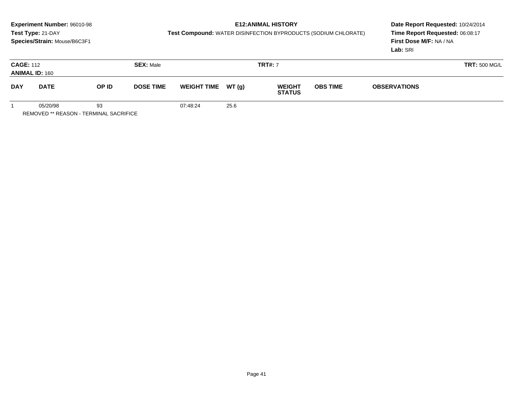# **E12:ANIMAL HISTORY**

**Test Compound:** WATER DISINFECTION BYPRODUCTS (SODIUM CHLORATE)

**Date Report Requested:** 10/24/2014 **Time Report Requested:** 06:08:17**First Dose M/F:** NA / NA**Lab:** SRI

| <b>CAGE: 112</b><br><b>ANIMAL ID: 160</b> |          |                           | <b>SEX: Male</b> | <b>TRT#: 7</b> |                                                                       |  |  | <b>TRT: 500 MG/L</b> |  |  |
|-------------------------------------------|----------|---------------------------|------------------|----------------|-----------------------------------------------------------------------|--|--|----------------------|--|--|
| <b>DAY</b><br><b>DATE</b>                 |          | OP ID<br><b>DOSE TIME</b> |                  |                | <b>WT (g)</b><br><b>WEIGHT TIME</b><br><b>WEIGHT</b><br><b>STATUS</b> |  |  | <b>OBSERVATIONS</b>  |  |  |
|                                           | 05/20/98 | 93                        |                  | 07:48:24       | 25.6                                                                  |  |  |                      |  |  |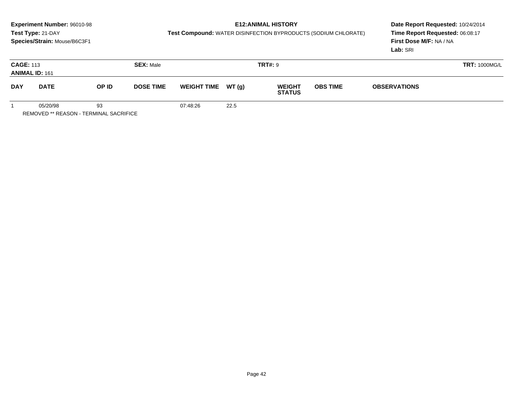# **E12:ANIMAL HISTORY**

**Test Compound:** WATER DISINFECTION BYPRODUCTS (SODIUM CHLORATE)

**Date Report Requested:** 10/24/2014 **Time Report Requested:** 06:08:17**First Dose M/F:** NA / NA**Lab:** SRI

| <b>CAGE: 113</b><br><b>ANIMAL ID: 161</b> |             |                           | <b>SEX: Male</b> |                     |      | <b>TRT#: 9</b>                 |                                        |  | <b>TRT: 1000MG/L</b> |
|-------------------------------------------|-------------|---------------------------|------------------|---------------------|------|--------------------------------|----------------------------------------|--|----------------------|
| <b>DAY</b>                                | <b>DATE</b> | OP ID<br><b>DOSE TIME</b> |                  | WEIGHT TIME $WT(g)$ |      | <b>WEIGHT</b><br><b>STATUS</b> | <b>OBS TIME</b><br><b>OBSERVATIONS</b> |  |                      |
|                                           | 05/20/98    | 93                        |                  | 07:48:26            | 22.5 |                                |                                        |  |                      |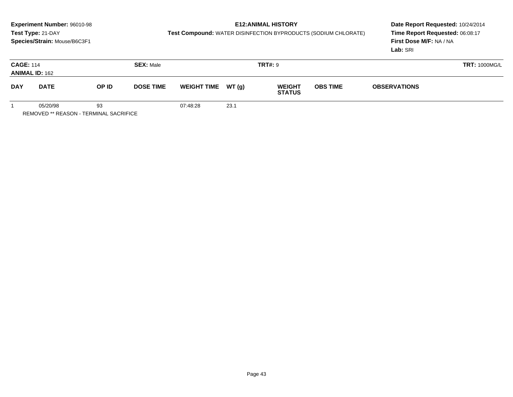# **E12:ANIMAL HISTORY**

**Test Compound:** WATER DISINFECTION BYPRODUCTS (SODIUM CHLORATE)

**Date Report Requested:** 10/24/2014 **Time Report Requested:** 06:08:17**First Dose M/F:** NA / NA**Lab:** SRI

| <b>CAGE: 114</b> | <b>ANIMAL ID: 162</b> |       | <b>SEX: Male</b> |          |                                                                                          | <b>TRT#: 9</b> |  | <b>TRT: 1000MG/L</b> |  |  |
|------------------|-----------------------|-------|------------------|----------|------------------------------------------------------------------------------------------|----------------|--|----------------------|--|--|
| <b>DAY</b>       | <b>DATE</b>           | OP ID | <b>DOSE TIME</b> |          | <b>WT (g)</b><br><b>WEIGHT TIME</b><br><b>OBS TIME</b><br><b>WEIGHT</b><br><b>STATUS</b> |                |  | <b>OBSERVATIONS</b>  |  |  |
|                  | 05/20/98              | 93    |                  | 07:48:28 | 23.1                                                                                     |                |  |                      |  |  |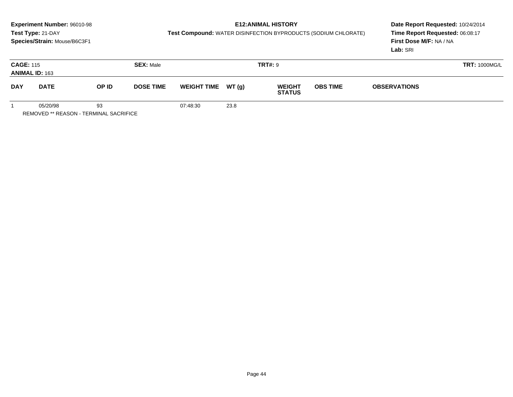# **E12:ANIMAL HISTORY**

**Test Compound:** WATER DISINFECTION BYPRODUCTS (SODIUM CHLORATE)

**Date Report Requested:** 10/24/2014 **Time Report Requested:** 06:08:17**First Dose M/F:** NA / NA**Lab:** SRI

| <b>CAGE: 115</b><br><b>ANIMAL ID: 163</b> |          |       | <b>SEX: Male</b> |                    |      | <b>TRT#: 9</b>                 |                 | <b>TRT: 1000MG/L</b> |  |
|-------------------------------------------|----------|-------|------------------|--------------------|------|--------------------------------|-----------------|----------------------|--|
| <b>DAY</b><br><b>DATE</b>                 |          | OP ID | <b>DOSE TIME</b> | WEIGHT TIME WT (g) |      | <b>WEIGHT</b><br><b>STATUS</b> | <b>OBS TIME</b> | <b>OBSERVATIONS</b>  |  |
|                                           | 05/20/98 | 93    |                  | 07:48:30           | 23.8 |                                |                 |                      |  |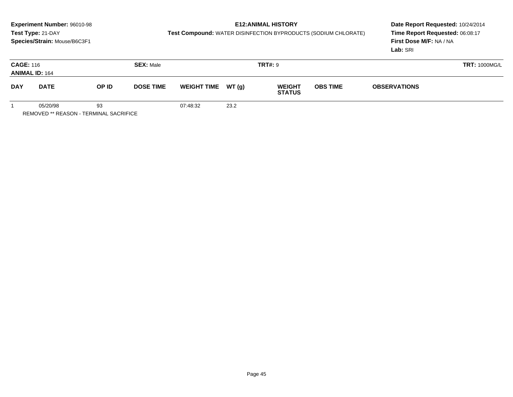# **E12:ANIMAL HISTORY**

**Test Compound:** WATER DISINFECTION BYPRODUCTS (SODIUM CHLORATE)

**Date Report Requested:** 10/24/2014 **Time Report Requested:** 06:08:17**First Dose M/F:** NA / NA**Lab:** SRI

| <b>CAGE: 116</b><br><b>ANIMAL ID: 164</b> |             |                           | <b>SEX: Male</b> |                     |      | <b>TRT#: 9</b>                 | <b>TRT: 1000MG/L</b>                   |  |  |
|-------------------------------------------|-------------|---------------------------|------------------|---------------------|------|--------------------------------|----------------------------------------|--|--|
| <b>DAY</b>                                | <b>DATE</b> | OP ID<br><b>DOSE TIME</b> |                  | WEIGHT TIME $WT(g)$ |      | <b>WEIGHT</b><br><b>STATUS</b> | <b>OBS TIME</b><br><b>OBSERVATIONS</b> |  |  |
|                                           | 05/20/98    | 93                        |                  | 07:48:32            | 23.2 |                                |                                        |  |  |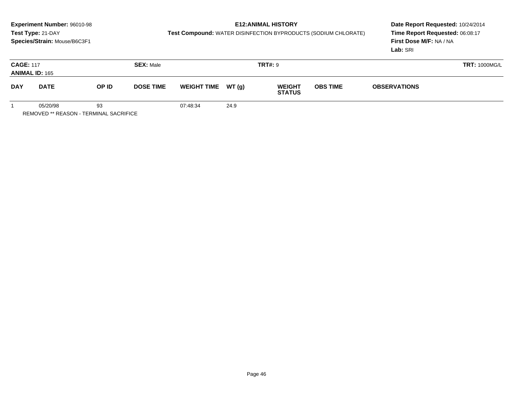# **E12:ANIMAL HISTORY**

**Test Compound:** WATER DISINFECTION BYPRODUCTS (SODIUM CHLORATE)

**Date Report Requested:** 10/24/2014 **Time Report Requested:** 06:08:17**First Dose M/F:** NA / NA**Lab:** SRI

| <b>CAGE: 117</b>          | <b>ANIMAL ID: 165</b> |                           | <b>SEX: Male</b> |                    |      | <b>TRT#: 9</b>                 |                                        | <b>TRT: 1000MG/L</b> |  |
|---------------------------|-----------------------|---------------------------|------------------|--------------------|------|--------------------------------|----------------------------------------|----------------------|--|
| <b>DAY</b><br><b>DATE</b> |                       | OP ID<br><b>DOSE TIME</b> |                  | WEIGHT TIME WT (g) |      | <b>WEIGHT</b><br><b>STATUS</b> | <b>OBS TIME</b><br><b>OBSERVATIONS</b> |                      |  |
|                           | 05/20/98              | 93                        |                  | 07:48:34           | 24.9 |                                |                                        |                      |  |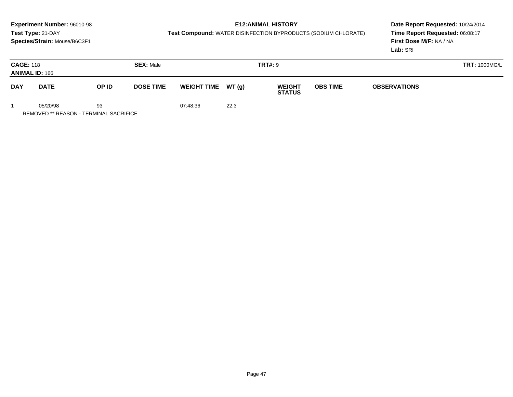# **E12:ANIMAL HISTORY**

**Test Compound:** WATER DISINFECTION BYPRODUCTS (SODIUM CHLORATE)

**Date Report Requested:** 10/24/2014 **Time Report Requested:** 06:08:17**First Dose M/F:** NA / NA**Lab:** SRI

| <b>CAGE: 118</b><br><b>ANIMAL ID: 166</b> |             |              | <b>SEX: Male</b> |                                         |      | <b>TRT#: 9</b>                 |                                        | <b>TRT: 1000MG/L</b> |  |
|-------------------------------------------|-------------|--------------|------------------|-----------------------------------------|------|--------------------------------|----------------------------------------|----------------------|--|
| <b>DAY</b>                                | <b>DATE</b> | <b>OP ID</b> |                  | WEIGHT TIME $WT(g)$<br><b>DOSE TIME</b> |      | <b>WEIGHT</b><br><b>STATUS</b> | <b>OBS TIME</b><br><b>OBSERVATIONS</b> |                      |  |
|                                           | 05/20/98    | 93           |                  | 07:48:36                                | 22.3 |                                |                                        |                      |  |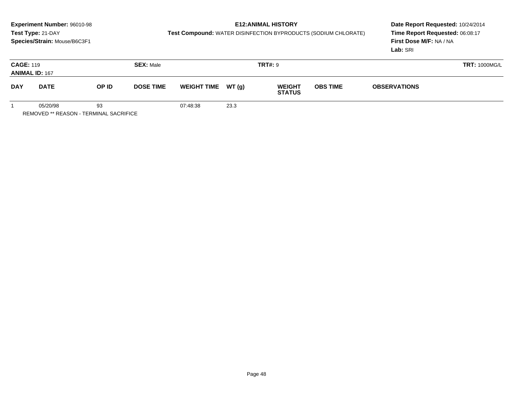# **E12:ANIMAL HISTORY**

**Test Compound:** WATER DISINFECTION BYPRODUCTS (SODIUM CHLORATE)

|            | <b>CAGE: 119</b><br><b>SEX: Male</b><br><b>ANIMAL ID: 167</b> |                                              |                  |                     |      | <b>TRT#: 9</b>                 |                 | <b>TRT: 1000MG/L</b> |  |
|------------|---------------------------------------------------------------|----------------------------------------------|------------------|---------------------|------|--------------------------------|-----------------|----------------------|--|
| <b>DAY</b> | <b>DATE</b>                                                   | OP ID                                        | <b>DOSE TIME</b> | WEIGHT TIME $WT(g)$ |      | <b>WEIGHT</b><br><b>STATUS</b> | <b>OBS TIME</b> | <b>OBSERVATIONS</b>  |  |
|            | 05/20/98                                                      | 93<br>REMOVED ** REASON - TERMINAL SACRIFICE |                  | 07:48:38            | 23.3 |                                |                 |                      |  |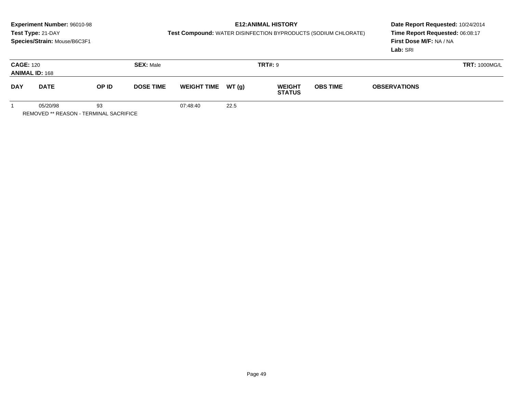# **E12:ANIMAL HISTORY**

**Test Compound:** WATER DISINFECTION BYPRODUCTS (SODIUM CHLORATE)

**Date Report Requested:** 10/24/2014 **Time Report Requested:** 06:08:17**First Dose M/F:** NA / NA**Lab:** SRI

| <b>CAGE: 120</b><br><b>ANIMAL ID: 168</b> |             | <b>SEX: Male</b> |                  |                     | <b>TRT#: 9</b> |                                |                                        | <b>TRT: 1000MG/L</b> |  |
|-------------------------------------------|-------------|------------------|------------------|---------------------|----------------|--------------------------------|----------------------------------------|----------------------|--|
| <b>DAY</b>                                | <b>DATE</b> | OP ID            | <b>DOSE TIME</b> | WEIGHT TIME $WT(g)$ |                | <b>WEIGHT</b><br><b>STATUS</b> | <b>OBS TIME</b><br><b>OBSERVATIONS</b> |                      |  |
|                                           | 05/20/98    | 93               |                  | 07:48:40            | 22.5           |                                |                                        |                      |  |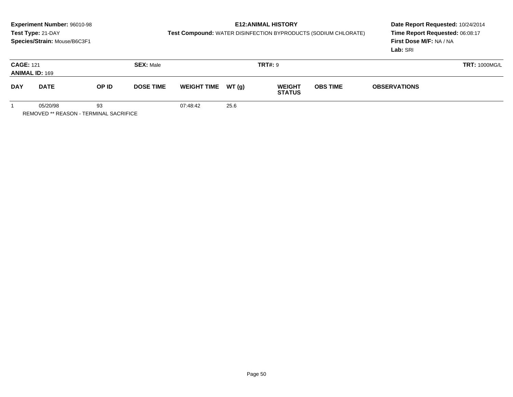# **E12:ANIMAL HISTORY**

**Test Compound:** WATER DISINFECTION BYPRODUCTS (SODIUM CHLORATE)

**Date Report Requested:** 10/24/2014 **Time Report Requested:** 06:08:17**First Dose M/F:** NA / NA**Lab:** SRI

| <b>CAGE: 121</b><br><b>ANIMAL ID: 169</b> |             | <b>SEX: Male</b> |                  |                     | <b>TRT#: 9</b> |                                |                 | <b>TRT: 1000MG/L</b> |  |  |
|-------------------------------------------|-------------|------------------|------------------|---------------------|----------------|--------------------------------|-----------------|----------------------|--|--|
| <b>DAY</b>                                | <b>DATE</b> | OP ID            | <b>DOSE TIME</b> | WEIGHT TIME $WT(g)$ |                | <b>WEIGHT</b><br><b>STATUS</b> | <b>OBS TIME</b> | <b>OBSERVATIONS</b>  |  |  |
|                                           | 05/20/98    | 93               |                  | 07:48:42            | 25.6           |                                |                 |                      |  |  |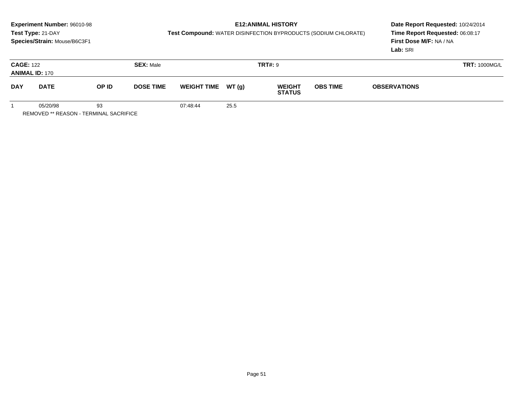# **E12:ANIMAL HISTORY**

**Test Compound:** WATER DISINFECTION BYPRODUCTS (SODIUM CHLORATE)

**Date Report Requested:** 10/24/2014 **Time Report Requested:** 06:08:17**First Dose M/F:** NA / NA**Lab:** SRI

| <b>CAGE: 122</b><br><b>ANIMAL ID: 170</b> |             |    | <b>SEX: Male</b> |                    | <b>TRT#: 9</b> |                                |                 | <b>TRT: 1000MG/L</b> |  |  |
|-------------------------------------------|-------------|----|------------------|--------------------|----------------|--------------------------------|-----------------|----------------------|--|--|
| <b>DAY</b>                                | <b>DATE</b> |    | <b>DOSE TIME</b> | WEIGHT TIME WT (g) |                | <b>WEIGHT</b><br><b>STATUS</b> | <b>OBS TIME</b> | <b>OBSERVATIONS</b>  |  |  |
|                                           | 05/20/98    | 93 |                  | 07:48:44           | 25.5           |                                |                 |                      |  |  |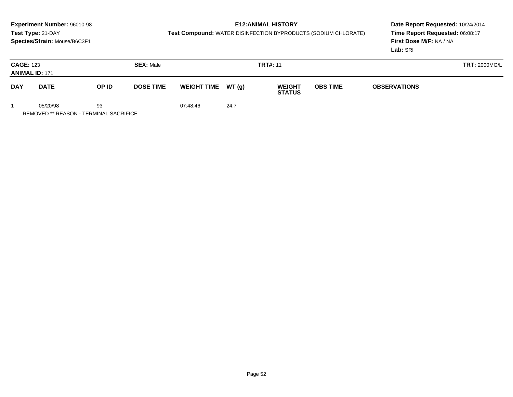# **E12:ANIMAL HISTORY**

**Test Compound:** WATER DISINFECTION BYPRODUCTS (SODIUM CHLORATE)

**Date Report Requested:** 10/24/2014 **Time Report Requested:** 06:08:17**First Dose M/F:** NA / NA**Lab:** SRI

| <b>CAGE: 123</b><br><b>ANIMAL ID: 171</b> |          |                           | <b>SEX: Male</b> |                                                      | <b>TRT#: 11</b> |  |                 | <b>TRT: 2000MG/L</b> |  |  |
|-------------------------------------------|----------|---------------------------|------------------|------------------------------------------------------|-----------------|--|-----------------|----------------------|--|--|
| <b>DAY</b><br><b>DATE</b>                 |          | OP ID<br><b>DOSE TIME</b> |                  | WEIGHT TIME WT (g)<br><b>WEIGHT</b><br><b>STATUS</b> |                 |  | <b>OBS TIME</b> | <b>OBSERVATIONS</b>  |  |  |
|                                           | 05/20/98 | 93                        |                  | 07:48:46                                             | 24.7            |  |                 |                      |  |  |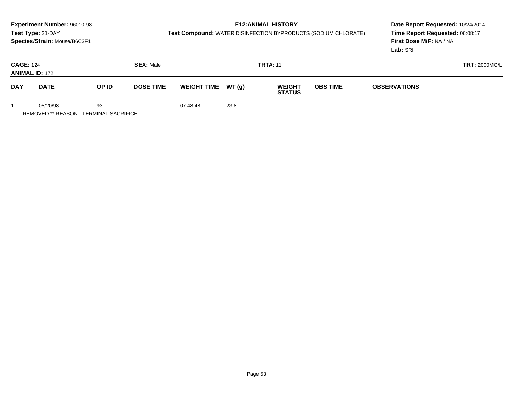# **E12:ANIMAL HISTORY**

**Test Compound:** WATER DISINFECTION BYPRODUCTS (SODIUM CHLORATE)

| <b>CAGE: 124</b> | <b>ANIMAL ID: 172</b> |                                                     | <b>SEX: Male</b> |          |                     | <b>TRT#: 11</b>                | <b>TRT: 2000MG/L</b> |                     |  |
|------------------|-----------------------|-----------------------------------------------------|------------------|----------|---------------------|--------------------------------|----------------------|---------------------|--|
| <b>DAY</b>       | <b>DATE</b>           | OP ID                                               | <b>DOSE TIME</b> |          | WEIGHT TIME $WT(g)$ | <b>WEIGHT</b><br><b>STATUS</b> | <b>OBS TIME</b>      | <b>OBSERVATIONS</b> |  |
|                  | 05/20/98              | 93<br><b>REMOVED ** REASON - TERMINAL SACRIFICE</b> |                  | 07:48:48 | 23.8                |                                |                      |                     |  |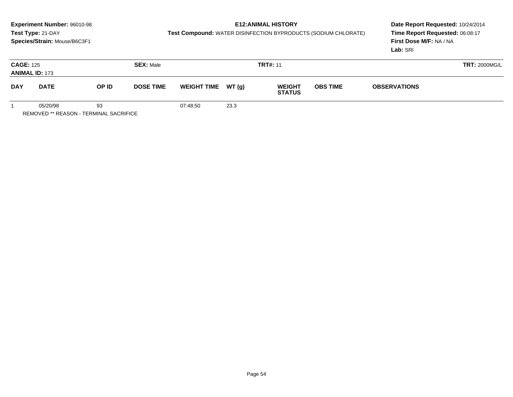# **E12:ANIMAL HISTORY**

**Test Compound:** WATER DISINFECTION BYPRODUCTS (SODIUM CHLORATE)

|            | <b>CAGE: 125</b><br><b>SEX: Male</b><br><b>ANIMAL ID: 173</b> |       |                  |          |                     | <b>TRT#: 11</b>                | <b>TRT: 2000MG/L</b> |  |  |
|------------|---------------------------------------------------------------|-------|------------------|----------|---------------------|--------------------------------|----------------------|--|--|
| <b>DAY</b> | <b>DATE</b>                                                   | OP ID | <b>DOSE TIME</b> |          | WEIGHT TIME $WT(g)$ | <b>WEIGHT</b><br><b>STATUS</b> | <b>OBS TIME</b>      |  |  |
|            | 05/20/98<br><b>REMOVED ** REASON - TERMINAL SACRIFICE</b>     | 93    |                  | 07:48:50 | 23.3                |                                |                      |  |  |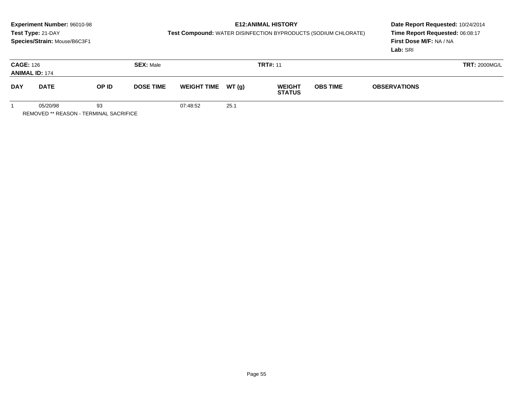# **E12:ANIMAL HISTORY**

**Test Compound:** WATER DISINFECTION BYPRODUCTS (SODIUM CHLORATE)

| <b>CAGE: 126</b> | <b>ANIMAL ID: 174</b> |                                              | <b>SEX: Male</b> |                     |      | <b>TRT#: 11</b>                |  | <b>TRT: 2000MG/L</b>                   |  |
|------------------|-----------------------|----------------------------------------------|------------------|---------------------|------|--------------------------------|--|----------------------------------------|--|
| <b>DAY</b>       | <b>DATE</b>           | OP ID<br><b>DOSE TIME</b>                    |                  | WEIGHT TIME $WT(g)$ |      | <b>WEIGHT</b><br><b>STATUS</b> |  | <b>OBS TIME</b><br><b>OBSERVATIONS</b> |  |
|                  | 05/20/98              | 93<br>REMOVED ** REASON - TERMINAL SACRIFICE |                  | 07:48:52            | 25.1 |                                |  |                                        |  |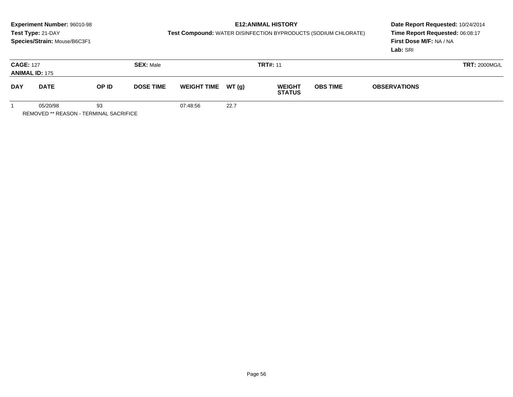# **E12:ANIMAL HISTORY**

**Test Compound:** WATER DISINFECTION BYPRODUCTS (SODIUM CHLORATE)

**Date Report Requested:** 10/24/2014 **Time Report Requested:** 06:08:17**First Dose M/F:** NA / NA**Lab:** SRI

| <b>CAGE: 127</b><br><b>ANIMAL ID: 175</b> |          |       | <b>SEX: Male</b> |          |                                                                         | <b>TRT#: 11</b> |  | <b>TRT: 2000MG/L</b> |  |
|-------------------------------------------|----------|-------|------------------|----------|-------------------------------------------------------------------------|-----------------|--|----------------------|--|
| <b>DAY</b><br><b>DATE</b>                 |          | OP ID | <b>DOSE TIME</b> |          | WEIGHT TIME WT (g)<br><b>OBS TIME</b><br><b>WEIGHT</b><br><b>STATUS</b> |                 |  | <b>OBSERVATIONS</b>  |  |
|                                           | 05/20/98 | 93    |                  | 07:48:56 | 22.7                                                                    |                 |  |                      |  |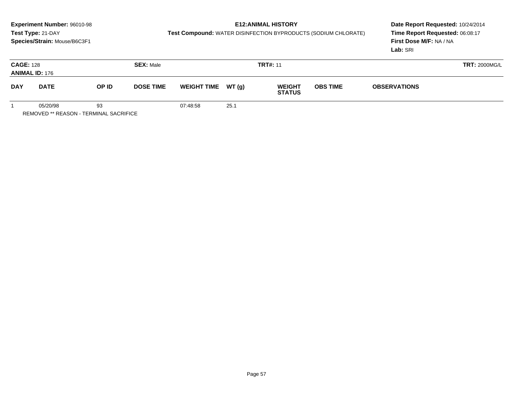# **E12:ANIMAL HISTORY**

**Test Compound:** WATER DISINFECTION BYPRODUCTS (SODIUM CHLORATE)

| <b>CAGE: 128</b> | <b>ANIMAL ID: 176</b>                                     |       | <b>SEX: Male</b> |          |                     | <b>TRT#: 11</b>                | <b>TRT: 2000MG/L</b> |                     |  |
|------------------|-----------------------------------------------------------|-------|------------------|----------|---------------------|--------------------------------|----------------------|---------------------|--|
| <b>DAY</b>       | <b>DATE</b>                                               | OP ID | <b>DOSE TIME</b> |          | WEIGHT TIME $WT(g)$ | <b>WEIGHT</b><br><b>STATUS</b> | <b>OBS TIME</b>      | <b>OBSERVATIONS</b> |  |
|                  | 05/20/98<br><b>REMOVED ** REASON - TERMINAL SACRIFICE</b> | 93    |                  | 07:48:58 | 25.1                |                                |                      |                     |  |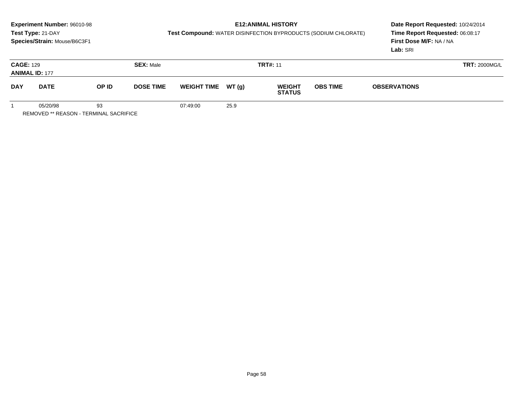# **E12:ANIMAL HISTORY**

**Test Compound:** WATER DISINFECTION BYPRODUCTS (SODIUM CHLORATE)

**Date Report Requested:** 10/24/2014 **Time Report Requested:** 06:08:17**First Dose M/F:** NA / NA**Lab:** SRI

| <b>CAGE: 129</b> | <b>ANIMAL ID: 177</b>                              |                           | <b>SEX: Male</b> | <b>TRT#: 11</b> |                                                      |  |  | <b>TRT: 2000MG/L</b> |  |  |
|------------------|----------------------------------------------------|---------------------------|------------------|-----------------|------------------------------------------------------|--|--|----------------------|--|--|
| <b>DAY</b>       | <b>DATE</b>                                        | OP ID<br><b>DOSE TIME</b> |                  |                 | WEIGHT TIME WT (g)<br><b>WEIGHT</b><br><b>STATUS</b> |  |  | <b>OBSERVATIONS</b>  |  |  |
|                  | 05/20/98<br>DEMOVED ** DEAGONL TEDMINIAL OAGDIELOE | 93                        |                  | 07:49:00        | 25.9                                                 |  |  |                      |  |  |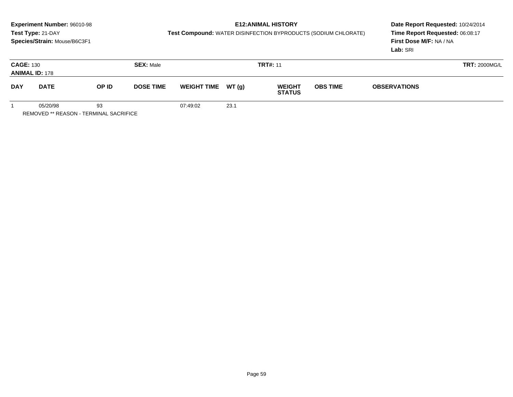# **E12:ANIMAL HISTORY**

**Test Compound:** WATER DISINFECTION BYPRODUCTS (SODIUM CHLORATE)

| <b>CAGE: 130</b> | <b>ANIMAL ID: 178</b> |                                              | <b>SEX: Male</b> | <b>TRT#: 11</b>     |      |                                |                 |                     | <b>TRT: 2000MG/L</b> |  |
|------------------|-----------------------|----------------------------------------------|------------------|---------------------|------|--------------------------------|-----------------|---------------------|----------------------|--|
| <b>DAY</b>       | <b>DATE</b>           | OP ID<br><b>DOSE TIME</b>                    |                  | WEIGHT TIME $WT(g)$ |      | <b>WEIGHT</b><br><b>STATUS</b> | <b>OBS TIME</b> | <b>OBSERVATIONS</b> |                      |  |
|                  | 05/20/98              | 93<br>REMOVED ** REASON - TERMINAL SACRIFICE |                  | 07:49:02            | 23.1 |                                |                 |                     |                      |  |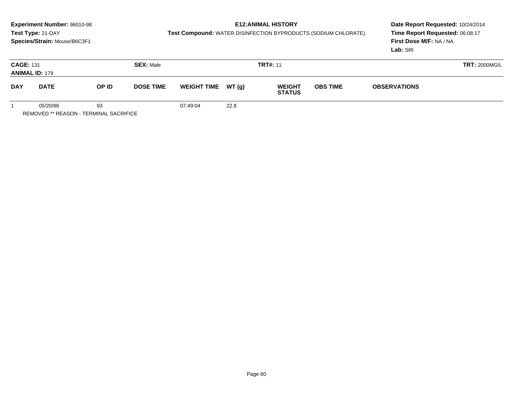# **E12:ANIMAL HISTORY**

**Test Compound:** WATER DISINFECTION BYPRODUCTS (SODIUM CHLORATE)

**Date Report Requested:** 10/24/2014 **Time Report Requested:** 06:08:17**First Dose M/F:** NA / NA**Lab:** SRI

| <b>CAGE: 131</b><br><b>ANIMAL ID: 179</b> |          |       | <b>SEX: Male</b> | <b>TRT#: 11</b>     |      |                                |                 |                     | <b>TRT: 2000MG/L</b> |
|-------------------------------------------|----------|-------|------------------|---------------------|------|--------------------------------|-----------------|---------------------|----------------------|
| <b>DAY</b><br><b>DATE</b>                 |          | OP ID | <b>DOSE TIME</b> | WEIGHT TIME $WT(g)$ |      | <b>WEIGHT</b><br><b>STATUS</b> | <b>OBS TIME</b> | <b>OBSERVATIONS</b> |                      |
|                                           | 05/20/98 | 93    |                  | 07:49:04            | 22.8 |                                |                 |                     |                      |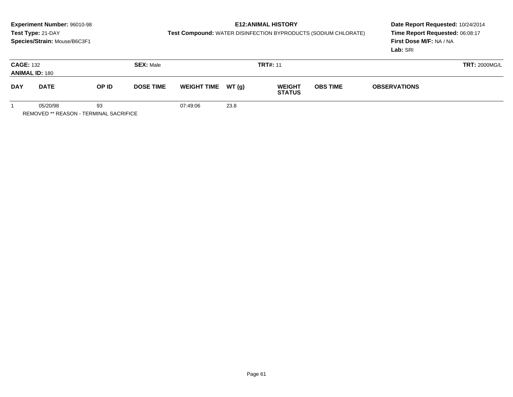# **E12:ANIMAL HISTORY**

**Test Compound:** WATER DISINFECTION BYPRODUCTS (SODIUM CHLORATE)

**Date Report Requested:** 10/24/2014 **Time Report Requested:** 06:08:17**First Dose M/F:** NA / NA**Lab:** SRI

|            | <b>CAGE: 132</b><br><b>SEX: Male</b><br><b>ANIMAL ID: 180</b> |       |                  |          |                                                       | <b>TRT#: 11</b> |  | <b>TRT: 2000MG/L</b> |  |  |
|------------|---------------------------------------------------------------|-------|------------------|----------|-------------------------------------------------------|-----------------|--|----------------------|--|--|
| <b>DAY</b> | <b>DATE</b>                                                   | OP ID | <b>DOSE TIME</b> |          | WEIGHT TIME $WT(g)$<br><b>WEIGHT</b><br><b>STATUS</b> |                 |  | <b>OBSERVATIONS</b>  |  |  |
|            | 05/20/98<br>DEMOVED ** DEAGONL TEDMINIAL OAGDIEIGE            | 93    |                  | 07:49:06 | 23.8                                                  |                 |  |                      |  |  |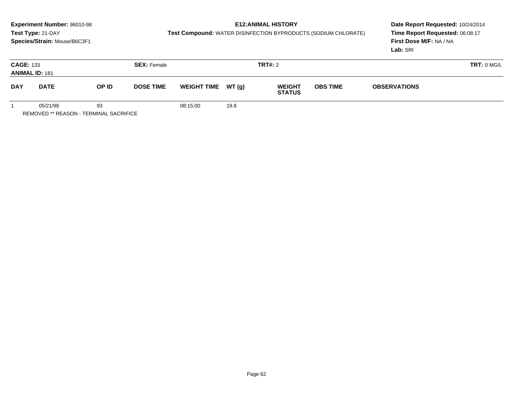# **E12:ANIMAL HISTORY**

**Test Compound:** WATER DISINFECTION BYPRODUCTS (SODIUM CHLORATE)

**Date Report Requested:** 10/24/2014 **Time Report Requested:** 06:08:17**First Dose M/F:** NA / NA**Lab:** SRI

| <b>CAGE: 133</b><br><b>ANIMAL ID: 181</b> |             |       | <b>SEX: Female</b> |                     |      | <b>TRT#: 2</b>                 |                 |                     | TRT: 0 MG/L |
|-------------------------------------------|-------------|-------|--------------------|---------------------|------|--------------------------------|-----------------|---------------------|-------------|
| <b>DAY</b>                                | <b>DATE</b> | OP ID | <b>DOSE TIME</b>   | WEIGHT TIME $WT(g)$ |      | <b>WEIGHT</b><br><b>STATUS</b> | <b>OBS TIME</b> | <b>OBSERVATIONS</b> |             |
|                                           | 05/21/98    | 93    |                    | 08:15:00            | 19.8 |                                |                 |                     |             |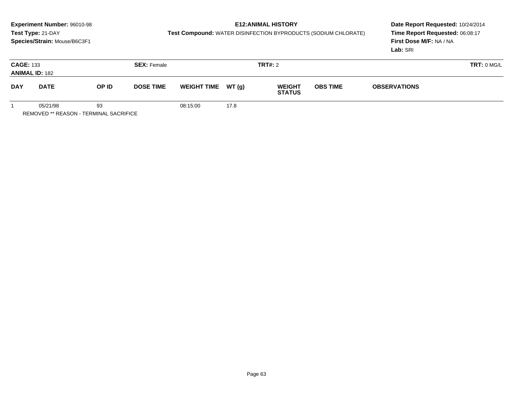## **E12:ANIMAL HISTORY**

**Test Compound:** WATER DISINFECTION BYPRODUCTS (SODIUM CHLORATE)

**Date Report Requested:** 10/24/2014 **Time Report Requested:** 06:08:17**First Dose M/F:** NA / NA**Lab:** SRI

|            | <b>CAGE: 133</b><br><b>ANIMAL ID: 182</b> |       | <b>SEX: Female</b> |                    |       | <b>TRT#: 2</b>                 |                 |                     | <b>TRT: 0 MG/L</b> |
|------------|-------------------------------------------|-------|--------------------|--------------------|-------|--------------------------------|-----------------|---------------------|--------------------|
| <b>DAY</b> | <b>DATE</b>                               | OP ID | <b>DOSE TIME</b>   | <b>WEIGHT TIME</b> | WT(g) | <b>WEIGHT</b><br><b>STATUS</b> | <b>OBS TIME</b> | <b>OBSERVATIONS</b> |                    |
|            | 05/21/98                                  | 93    |                    | 08:15:00           | 17.8  |                                |                 |                     |                    |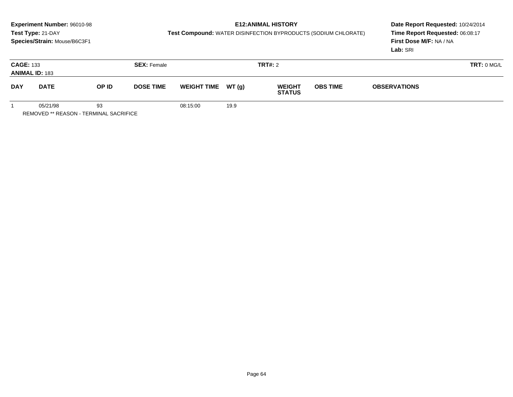## **E12:ANIMAL HISTORY**

**Test Compound:** WATER DISINFECTION BYPRODUCTS (SODIUM CHLORATE)

**Date Report Requested:** 10/24/2014 **Time Report Requested:** 06:08:17**First Dose M/F:** NA / NA**Lab:** SRI

|            | <b>CAGE: 133</b><br><b>SEX: Female</b><br><b>ANIMAL ID: 183</b> |       |                  |                     |      | TRT#: 2                        |                 |                     | TRT: 0 MG/L |
|------------|-----------------------------------------------------------------|-------|------------------|---------------------|------|--------------------------------|-----------------|---------------------|-------------|
| <b>DAY</b> | <b>DATE</b>                                                     | OP ID | <b>DOSE TIME</b> | WEIGHT TIME $WT(g)$ |      | <b>WEIGHT</b><br><b>STATUS</b> | <b>OBS TIME</b> | <b>OBSERVATIONS</b> |             |
|            | 05/21/98                                                        | 93    |                  | 08:15:00            | 19.9 |                                |                 |                     |             |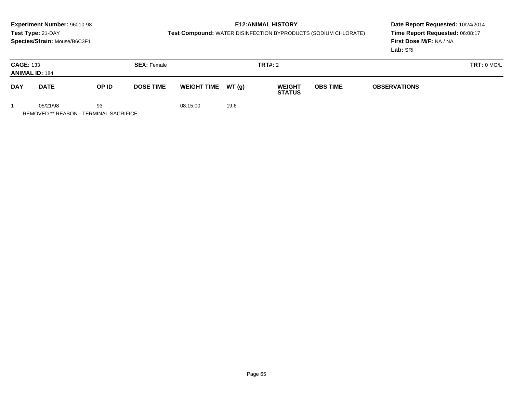## **E12:ANIMAL HISTORY**

**Test Compound:** WATER DISINFECTION BYPRODUCTS (SODIUM CHLORATE)

**Date Report Requested:** 10/24/2014 **Time Report Requested:** 06:08:17**First Dose M/F:** NA / NA**Lab:** SRI

|            | <b>CAGE: 133</b><br><b>ANIMAL ID: 184</b> |       | <b>SEX: Female</b> |                     |      | <b>TRT#: 2</b>                 |                 |                     | TRT: 0 MG/L |
|------------|-------------------------------------------|-------|--------------------|---------------------|------|--------------------------------|-----------------|---------------------|-------------|
| <b>DAY</b> | <b>DATE</b>                               | OP ID | <b>DOSE TIME</b>   | WEIGHT TIME $WT(g)$ |      | <b>WEIGHT</b><br><b>STATUS</b> | <b>OBS TIME</b> | <b>OBSERVATIONS</b> |             |
|            | 05/21/98                                  | 93    |                    | 08:15:00            | 19.6 |                                |                 |                     |             |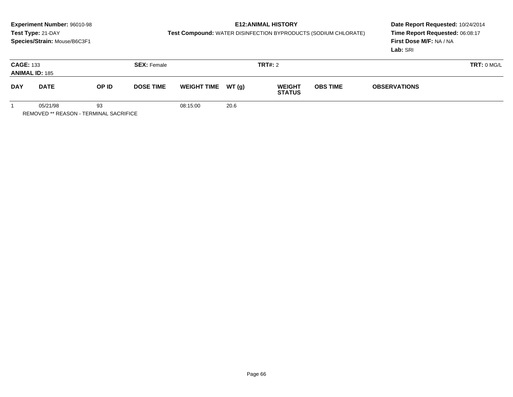## **E12:ANIMAL HISTORY**

**Test Compound:** WATER DISINFECTION BYPRODUCTS (SODIUM CHLORATE)

**Date Report Requested:** 10/24/2014 **Time Report Requested:** 06:08:17**First Dose M/F:** NA / NA**Lab:** SRI

| <b>CAGE: 133</b>          | <b>ANIMAL ID: 185</b> |                           | <b>SEX: Female</b> |                    |        | TRT#: 2                        |                 |                     | TRT: 0 MG/L |
|---------------------------|-----------------------|---------------------------|--------------------|--------------------|--------|--------------------------------|-----------------|---------------------|-------------|
| <b>DAY</b><br><b>DATE</b> |                       | OP ID<br><b>DOSE TIME</b> |                    | <b>WEIGHT TIME</b> | WT (g) | <b>WEIGHT</b><br><b>STATUS</b> | <b>OBS TIME</b> | <b>OBSERVATIONS</b> |             |
|                           | 05/21/98              | 93                        |                    | 08:15:00           | 20.6   |                                |                 |                     |             |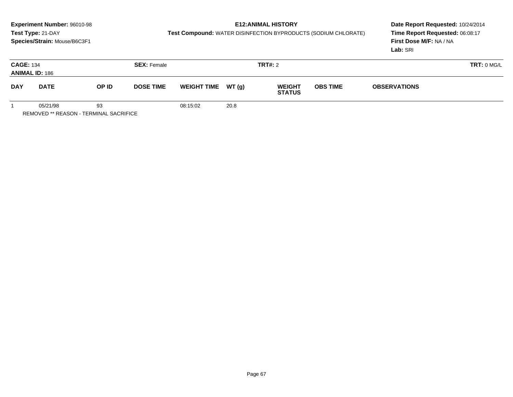## **E12:ANIMAL HISTORY**

**Test Compound:** WATER DISINFECTION BYPRODUCTS (SODIUM CHLORATE)

**Date Report Requested:** 10/24/2014 **Time Report Requested:** 06:08:17**First Dose M/F:** NA / NA**Lab:** SRI

|            | <b>CAGE: 134</b><br><b>ANIMAL ID: 186</b> |                           | <b>SEX: Female</b> |                                     |      | <b>TRT#: 2</b>                 |                 |                     |  |  |
|------------|-------------------------------------------|---------------------------|--------------------|-------------------------------------|------|--------------------------------|-----------------|---------------------|--|--|
| <b>DAY</b> | <b>DATE</b>                               | OP ID<br><b>DOSE TIME</b> |                    | <b>WT (g)</b><br><b>WEIGHT TIME</b> |      | <b>WEIGHT</b><br><b>STATUS</b> | <b>OBS TIME</b> | <b>OBSERVATIONS</b> |  |  |
|            | 05/21/98                                  | 93                        |                    | 08:15:02                            | 20.8 |                                |                 |                     |  |  |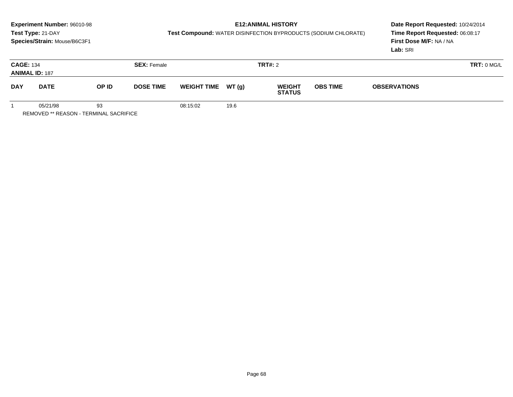## **E12:ANIMAL HISTORY**

**Test Compound:** WATER DISINFECTION BYPRODUCTS (SODIUM CHLORATE)

**Date Report Requested:** 10/24/2014 **Time Report Requested:** 06:08:17**First Dose M/F:** NA / NA**Lab:** SRI

| <b>CAGE: 134</b><br><b>ANIMAL ID: 187</b> |             |       | <b>SEX: Female</b> |                    |       | <b>TRT#: 2</b>                 |                 |                     | <b>TRT: 0 MG/L</b> |
|-------------------------------------------|-------------|-------|--------------------|--------------------|-------|--------------------------------|-----------------|---------------------|--------------------|
| <b>DAY</b>                                | <b>DATE</b> | OP ID | <b>DOSE TIME</b>   | <b>WEIGHT TIME</b> | WT(g) | <b>WEIGHT</b><br><b>STATUS</b> | <b>OBS TIME</b> | <b>OBSERVATIONS</b> |                    |
|                                           | 05/21/98    | 93    |                    | 08:15:02           | 19.6  |                                |                 |                     |                    |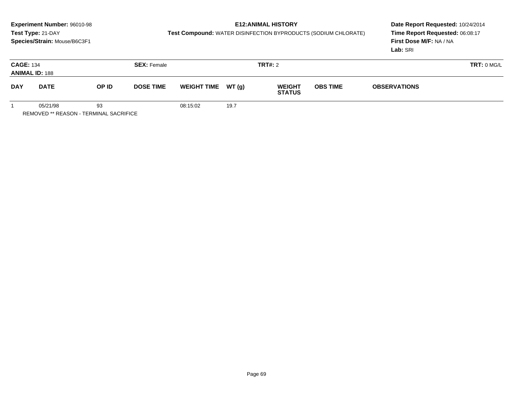## **E12:ANIMAL HISTORY**

**Test Compound:** WATER DISINFECTION BYPRODUCTS (SODIUM CHLORATE)

**Date Report Requested:** 10/24/2014 **Time Report Requested:** 06:08:17**First Dose M/F:** NA / NA**Lab:** SRI

| <b>CAGE: 134</b><br><b>ANIMAL ID: 188</b> |             |       | <b>SEX: Female</b> | TRT#: 2             |      |                                |                 |                     | TRT: 0 MG/L |
|-------------------------------------------|-------------|-------|--------------------|---------------------|------|--------------------------------|-----------------|---------------------|-------------|
| <b>DAY</b>                                | <b>DATE</b> | OP ID | <b>DOSE TIME</b>   | WEIGHT TIME $WT(g)$ |      | <b>WEIGHT</b><br><b>STATUS</b> | <b>OBS TIME</b> | <b>OBSERVATIONS</b> |             |
|                                           | 05/21/98    | 93    |                    | 08:15:02            | 19.7 |                                |                 |                     |             |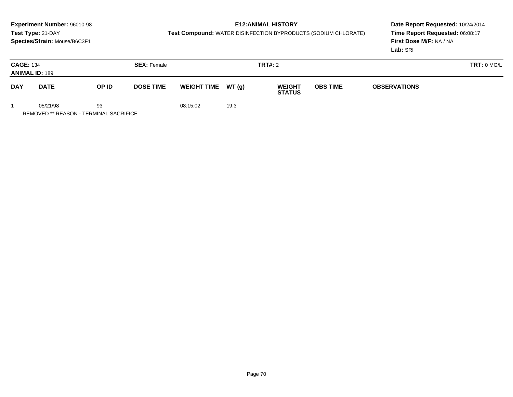## **E12:ANIMAL HISTORY**

**Test Compound:** WATER DISINFECTION BYPRODUCTS (SODIUM CHLORATE)

**Date Report Requested:** 10/24/2014 **Time Report Requested:** 06:08:17**First Dose M/F:** NA / NA**Lab:** SRI

| <b>CAGE: 134</b><br><b>ANIMAL ID: 189</b> |             |       | <b>SEX: Female</b> |                     |      | TRT#: 2                        |                 |                     | TRT: 0 MG/L |
|-------------------------------------------|-------------|-------|--------------------|---------------------|------|--------------------------------|-----------------|---------------------|-------------|
| <b>DAY</b>                                | <b>DATE</b> | OP ID | <b>DOSE TIME</b>   | WEIGHT TIME $WT(g)$ |      | <b>WEIGHT</b><br><b>STATUS</b> | <b>OBS TIME</b> | <b>OBSERVATIONS</b> |             |
|                                           | 05/21/98    | 93    |                    | 08:15:02            | 19.3 |                                |                 |                     |             |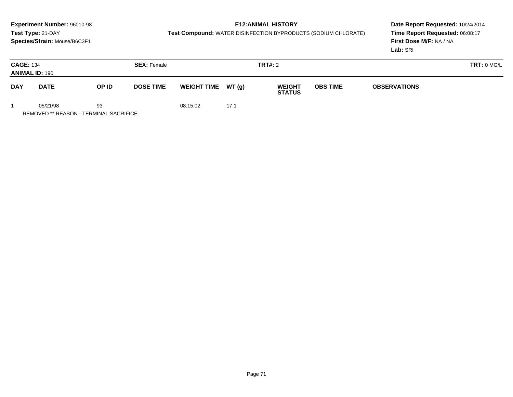## **E12:ANIMAL HISTORY**

**Test Compound:** WATER DISINFECTION BYPRODUCTS (SODIUM CHLORATE)

**Date Report Requested:** 10/24/2014 **Time Report Requested:** 06:08:17**First Dose M/F:** NA / NA**Lab:** SRI

| <b>CAGE: 134</b><br><b>ANIMAL ID: 190</b> |             |       | <b>SEX: Female</b> | TRT#: 2             |      |                                |                 |                     |  |  |
|-------------------------------------------|-------------|-------|--------------------|---------------------|------|--------------------------------|-----------------|---------------------|--|--|
| <b>DAY</b>                                | <b>DATE</b> | OP ID | <b>DOSE TIME</b>   | WEIGHT TIME $WT(g)$ |      | <b>WEIGHT</b><br><b>STATUS</b> | <b>OBS TIME</b> | <b>OBSERVATIONS</b> |  |  |
|                                           | 05/21/98    | 93    |                    | 08:15:02            | 17.1 |                                |                 |                     |  |  |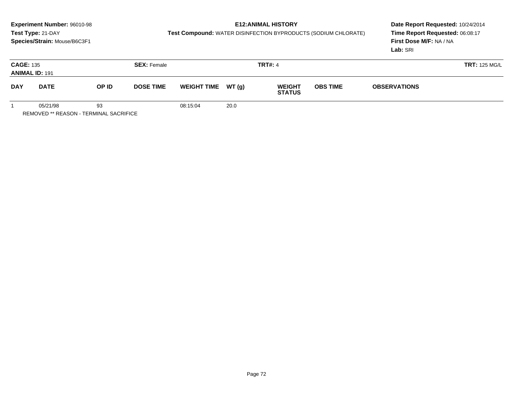## **E12:ANIMAL HISTORY**

**Test Compound:** WATER DISINFECTION BYPRODUCTS (SODIUM CHLORATE)

**Date Report Requested:** 10/24/2014 **Time Report Requested:** 06:08:17**First Dose M/F:** NA / NA**Lab:** SRI

| <b>CAGE: 135</b><br><b>ANIMAL ID: 191</b> |             |                           | <b>SEX: Female</b> |                     |      | <b>TRT#: 4</b>                 |                 | <b>TRT: 125 MG/L</b> |  |  |
|-------------------------------------------|-------------|---------------------------|--------------------|---------------------|------|--------------------------------|-----------------|----------------------|--|--|
| <b>DAY</b>                                | <b>DATE</b> | OP ID<br><b>DOSE TIME</b> |                    | WEIGHT TIME $WT(g)$ |      | <b>WEIGHT</b><br><b>STATUS</b> | <b>OBS TIME</b> | <b>OBSERVATIONS</b>  |  |  |
|                                           | 05/21/98    | 93                        |                    | 08:15:04            | 20.0 |                                |                 |                      |  |  |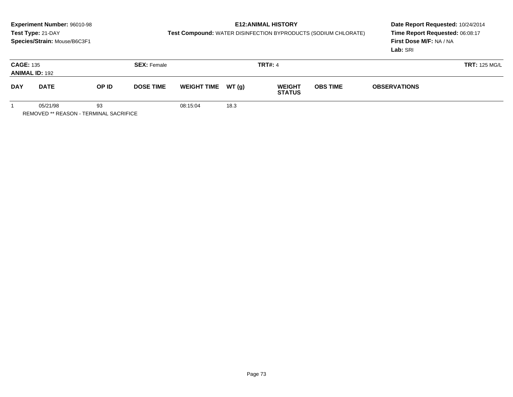# **E12:ANIMAL HISTORY**

**Test Compound:** WATER DISINFECTION BYPRODUCTS (SODIUM CHLORATE)

**Date Report Requested:** 10/24/2014 **Time Report Requested:** 06:08:17**First Dose M/F:** NA / NA**Lab:** SRI

| <b>CAGE: 135</b> | <b>ANIMAL ID: 192</b> |                           | <b>SEX: Female</b> |                     |      | <b>TRT#: 4</b>                 |                 |                     | <b>TRT: 125 MG/L</b> |
|------------------|-----------------------|---------------------------|--------------------|---------------------|------|--------------------------------|-----------------|---------------------|----------------------|
| <b>DAY</b>       | <b>DATE</b>           | OP ID<br><b>DOSE TIME</b> |                    | WEIGHT TIME $WT(g)$ |      | <b>WEIGHT</b><br><b>STATUS</b> | <b>OBS TIME</b> | <b>OBSERVATIONS</b> |                      |
|                  | 05/21/98              | 93                        |                    | 08:15:04            | 18.3 |                                |                 |                     |                      |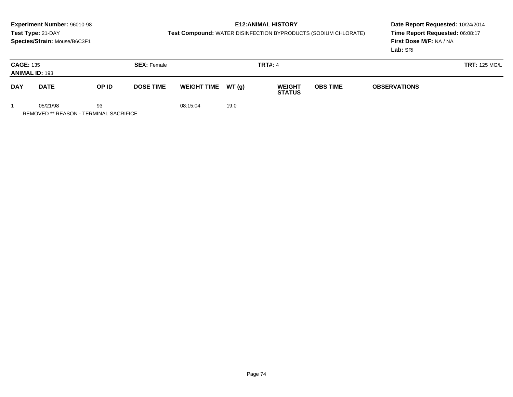# **E12:ANIMAL HISTORY**

**Test Compound:** WATER DISINFECTION BYPRODUCTS (SODIUM CHLORATE)

**Date Report Requested:** 10/24/2014 **Time Report Requested:** 06:08:17**First Dose M/F:** NA / NA**Lab:** SRI

| <b>CAGE: 135</b> | <b>ANIMAL ID: 193</b> |                           | <b>SEX: Female</b> |                    |       | <b>TRT#: 4</b>                 |                                        | <b>TRT: 125 MG/L</b> |  |  |
|------------------|-----------------------|---------------------------|--------------------|--------------------|-------|--------------------------------|----------------------------------------|----------------------|--|--|
| <b>DAY</b>       | <b>DATE</b>           | OP ID<br><b>DOSE TIME</b> |                    | <b>WEIGHT TIME</b> | WT(g) | <b>WEIGHT</b><br><b>STATUS</b> | <b>OBS TIME</b><br><b>OBSERVATIONS</b> |                      |  |  |
|                  | 05/21/98              | 93                        |                    | 08:15:04           | 19.0  |                                |                                        |                      |  |  |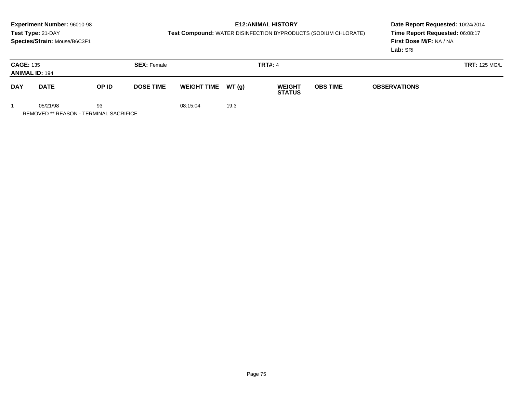# **E12:ANIMAL HISTORY**

**Test Compound:** WATER DISINFECTION BYPRODUCTS (SODIUM CHLORATE)

**Date Report Requested:** 10/24/2014 **Time Report Requested:** 06:08:17**First Dose M/F:** NA / NA**Lab:** SRI

| <b>CAGE: 135</b> | <b>ANIMAL ID: 194</b> |                           | <b>SEX: Female</b> |                    |       | <b>TRT#: 4</b>                 |                 | <b>TRT: 125 MG/L</b> |  |  |
|------------------|-----------------------|---------------------------|--------------------|--------------------|-------|--------------------------------|-----------------|----------------------|--|--|
| <b>DAY</b>       | <b>DATE</b>           | OP ID<br><b>DOSE TIME</b> |                    | <b>WEIGHT TIME</b> | WT(g) | <b>WEIGHT</b><br><b>STATUS</b> | <b>OBS TIME</b> | <b>OBSERVATIONS</b>  |  |  |
|                  | 05/21/98              | 93                        |                    | 08:15:04           | 19.3  |                                |                 |                      |  |  |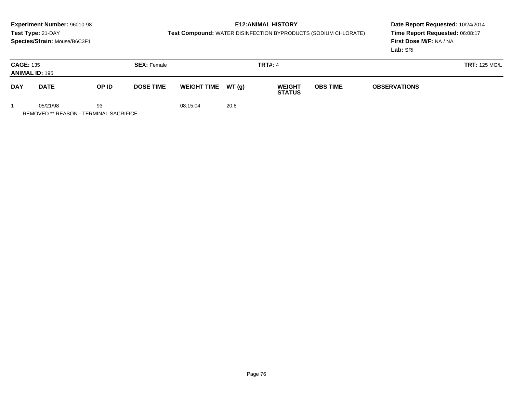# **E12:ANIMAL HISTORY**

**Test Compound:** WATER DISINFECTION BYPRODUCTS (SODIUM CHLORATE)

**Date Report Requested:** 10/24/2014 **Time Report Requested:** 06:08:17**First Dose M/F:** NA / NA**Lab:** SRI

| <b>CAGE: 135</b> | <b>ANIMAL ID: 195</b> | <b>SEX: Female</b>        |  |                     | <b>TRT#: 4</b> |                                                   |  | <b>TRT: 125 MG/L</b> |  |  |
|------------------|-----------------------|---------------------------|--|---------------------|----------------|---------------------------------------------------|--|----------------------|--|--|
| <b>DAY</b>       | <b>DATE</b>           | OP ID<br><b>DOSE TIME</b> |  | WEIGHT TIME $WT(g)$ |                | <b>OBS TIME</b><br><b>WEIGHT</b><br><b>STATUS</b> |  | <b>OBSERVATIONS</b>  |  |  |
|                  | 05/21/98              | 93                        |  | 08:15:04            | 20.8           |                                                   |  |                      |  |  |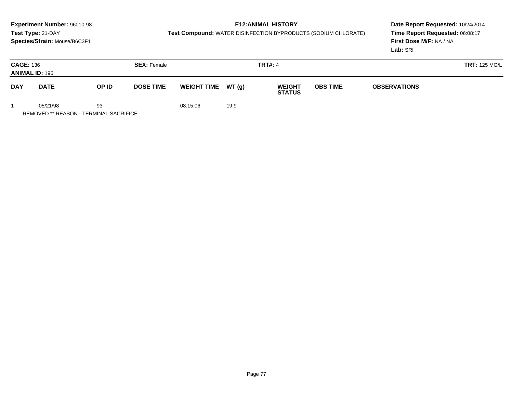# **E12:ANIMAL HISTORY**

**Test Compound:** WATER DISINFECTION BYPRODUCTS (SODIUM CHLORATE)

**Date Report Requested:** 10/24/2014 **Time Report Requested:** 06:08:17**First Dose M/F:** NA / NA**Lab:** SRI

| <b>CAGE: 136</b><br><b>ANIMAL ID: 196</b> |             |       | <b>SEX: Female</b> |                     |      |                                | <b>TRT#: 4</b>  |                     |  |
|-------------------------------------------|-------------|-------|--------------------|---------------------|------|--------------------------------|-----------------|---------------------|--|
| <b>DAY</b>                                | <b>DATE</b> | OP ID | <b>DOSE TIME</b>   | WEIGHT TIME $WT(g)$ |      | <b>WEIGHT</b><br><b>STATUS</b> | <b>OBS TIME</b> | <b>OBSERVATIONS</b> |  |
|                                           | 05/21/98    | 93    |                    | 08:15:06            | 19.9 |                                |                 |                     |  |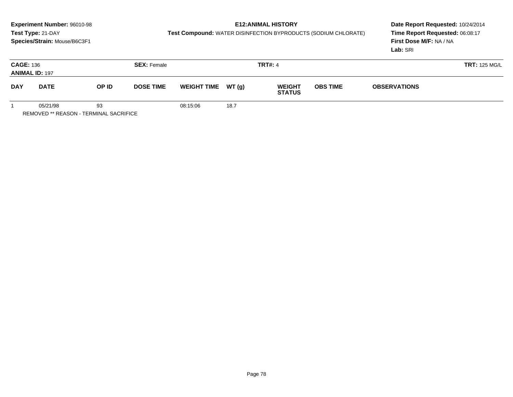# **E12:ANIMAL HISTORY**

**Test Compound:** WATER DISINFECTION BYPRODUCTS (SODIUM CHLORATE)

**Date Report Requested:** 10/24/2014 **Time Report Requested:** 06:08:17**First Dose M/F:** NA / NA**Lab:** SRI

| <b>CAGE: 136</b><br><b>ANIMAL ID: 197</b> |             | <b>SEX: Female</b> |                  |                    | <b>TRT#: 4</b> |                                |                 |                     | <b>TRT: 125 MG/L</b> |
|-------------------------------------------|-------------|--------------------|------------------|--------------------|----------------|--------------------------------|-----------------|---------------------|----------------------|
| <b>DAY</b>                                | <b>DATE</b> | OP ID              | <b>DOSE TIME</b> | <b>WEIGHT TIME</b> | WT(g)          | <b>WEIGHT</b><br><b>STATUS</b> | <b>OBS TIME</b> | <b>OBSERVATIONS</b> |                      |
|                                           | 05/21/98    | 93                 |                  | 08:15:06           | 18.7           |                                |                 |                     |                      |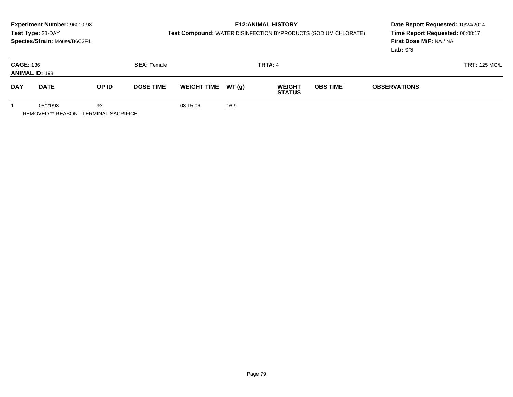# **E12:ANIMAL HISTORY**

**Test Compound:** WATER DISINFECTION BYPRODUCTS (SODIUM CHLORATE)

**Date Report Requested:** 10/24/2014 **Time Report Requested:** 06:08:17**First Dose M/F:** NA / NA**Lab:** SRI

| <b>CAGE: 136</b> | <b>ANIMAL ID: 198</b> |                           | <b>SEX: Female</b> |                     |      | <b>TRT#: 4</b>                 |                                        |  | <b>TRT: 125 MG/L</b> |
|------------------|-----------------------|---------------------------|--------------------|---------------------|------|--------------------------------|----------------------------------------|--|----------------------|
| <b>DAY</b>       | <b>DATE</b>           | OP ID<br><b>DOSE TIME</b> |                    | WEIGHT TIME $WT(g)$ |      | <b>WEIGHT</b><br><b>STATUS</b> | <b>OBS TIME</b><br><b>OBSERVATIONS</b> |  |                      |
|                  | 05/21/98              | 93                        |                    | 08:15:06            | 16.9 |                                |                                        |  |                      |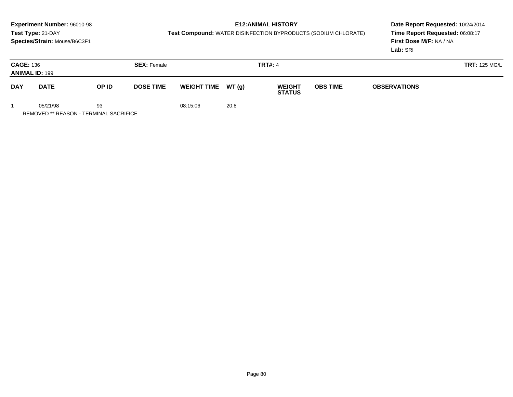# **E12:ANIMAL HISTORY**

**Test Compound:** WATER DISINFECTION BYPRODUCTS (SODIUM CHLORATE)

**Date Report Requested:** 10/24/2014 **Time Report Requested:** 06:08:17**First Dose M/F:** NA / NA**Lab:** SRI

| <b>CAGE: 136</b><br><b>ANIMAL ID: 199</b> |             | <b>SEX: Female</b> |                  |                     |      | <b>TRT#: 4</b>                 |                 | <b>TRT: 125 MG/L</b> |  |  |
|-------------------------------------------|-------------|--------------------|------------------|---------------------|------|--------------------------------|-----------------|----------------------|--|--|
| <b>DAY</b>                                | <b>DATE</b> | OP ID              | <b>DOSE TIME</b> | WEIGHT TIME $WT(g)$ |      | <b>WEIGHT</b><br><b>STATUS</b> | <b>OBS TIME</b> | <b>OBSERVATIONS</b>  |  |  |
|                                           | 05/21/98    | 93                 |                  | 08:15:06            | 20.8 |                                |                 |                      |  |  |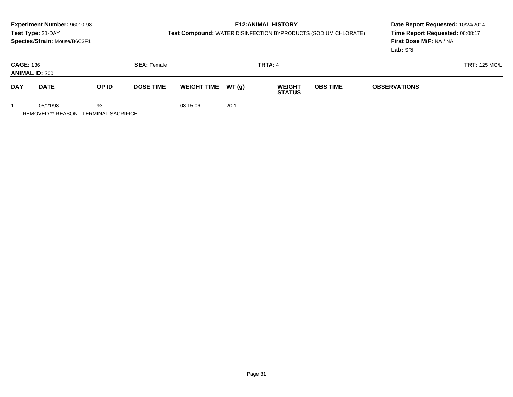### **E12:ANIMAL HISTORY**

**Test Compound:** WATER DISINFECTION BYPRODUCTS (SODIUM CHLORATE)

**Date Report Requested:** 10/24/2014 **Time Report Requested:** 06:08:17**First Dose M/F:** NA / NA**Lab:** SRI

| <b>CAGE: 136</b><br><b>ANIMAL ID: 200</b> |             |                           | <b>SEX: Female</b> | <b>TRT#: 4</b>      |      |                                | <b>TRT: 125 MG/L</b> |                     |  |
|-------------------------------------------|-------------|---------------------------|--------------------|---------------------|------|--------------------------------|----------------------|---------------------|--|
| <b>DAY</b>                                | <b>DATE</b> | OP ID<br><b>DOSE TIME</b> |                    | WEIGHT TIME $WT(g)$ |      | <b>WEIGHT</b><br><b>STATUS</b> | <b>OBS TIME</b>      | <b>OBSERVATIONS</b> |  |
|                                           | 05/21/98    | 93                        |                    | 08:15:06            | 20.1 |                                |                      |                     |  |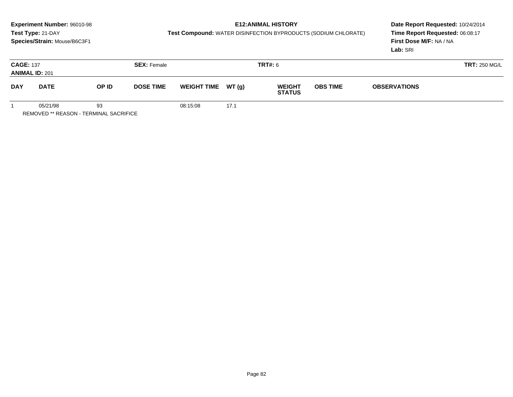# **E12:ANIMAL HISTORY**

**Test Compound:** WATER DISINFECTION BYPRODUCTS (SODIUM CHLORATE)

**Date Report Requested:** 10/24/2014 **Time Report Requested:** 06:08:17**First Dose M/F:** NA / NA**Lab:** SRI

| <b>CAGE: 137</b><br><b>ANIMAL ID: 201</b> |             | <b>SEX: Female</b> |                  |                     | <b>TRT#: 6</b> |                                |                 | <b>TRT: 250 MG/L</b> |  |  |
|-------------------------------------------|-------------|--------------------|------------------|---------------------|----------------|--------------------------------|-----------------|----------------------|--|--|
| <b>DAY</b>                                | <b>DATE</b> | OP ID              | <b>DOSE TIME</b> | WEIGHT TIME $WT(g)$ |                | <b>WEIGHT</b><br><b>STATUS</b> | <b>OBS TIME</b> | <b>OBSERVATIONS</b>  |  |  |
|                                           | 05/21/98    | 93                 |                  | 08:15:08            | 17.1           |                                |                 |                      |  |  |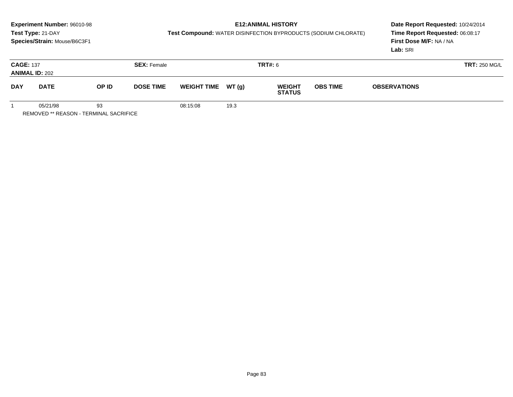# **E12:ANIMAL HISTORY**

**Test Compound:** WATER DISINFECTION BYPRODUCTS (SODIUM CHLORATE)

**Date Report Requested:** 10/24/2014 **Time Report Requested:** 06:08:17**First Dose M/F:** NA / NA**Lab:** SRI

| <b>CAGE: 137</b> | <b>ANIMAL ID: 202</b> |       | <b>SEX: Female</b>                     |          |       | <b>TRT#: 6</b>                 |                 | <b>TRT: 250 MG/L</b> |  |
|------------------|-----------------------|-------|----------------------------------------|----------|-------|--------------------------------|-----------------|----------------------|--|
| <b>DAY</b>       | <b>DATE</b>           | OP ID | <b>WEIGHT TIME</b><br><b>DOSE TIME</b> |          | WT(g) | <b>WEIGHT</b><br><b>STATUS</b> | <b>OBS TIME</b> | <b>OBSERVATIONS</b>  |  |
|                  | 05/21/98              | 93    |                                        | 08:15:08 | 19.3  |                                |                 |                      |  |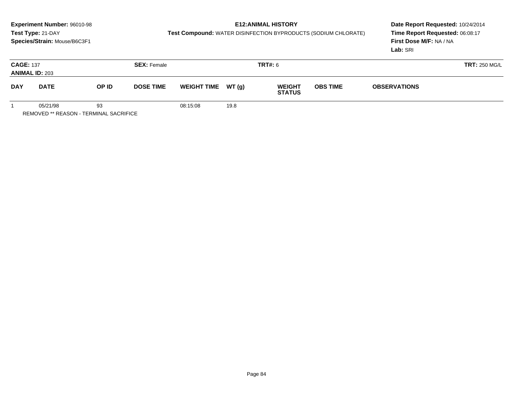# **E12:ANIMAL HISTORY**

**Test Compound:** WATER DISINFECTION BYPRODUCTS (SODIUM CHLORATE)

**Date Report Requested:** 10/24/2014 **Time Report Requested:** 06:08:17**First Dose M/F:** NA / NA**Lab:** SRI

| <b>CAGE: 137</b><br><b>ANIMAL ID: 203</b> |             | <b>SEX: Female</b> |                  |                    | <b>TRT#: 6</b> |                                |                 | <b>TRT: 250 MG/L</b> |  |
|-------------------------------------------|-------------|--------------------|------------------|--------------------|----------------|--------------------------------|-----------------|----------------------|--|
| <b>DAY</b>                                | <b>DATE</b> | OP ID              | <b>DOSE TIME</b> | <b>WEIGHT TIME</b> | <b>WT (g)</b>  | <b>WEIGHT</b><br><b>STATUS</b> | <b>OBS TIME</b> | <b>OBSERVATIONS</b>  |  |
|                                           | 05/21/98    | 93                 |                  | 08:15:08           | 19.8           |                                |                 |                      |  |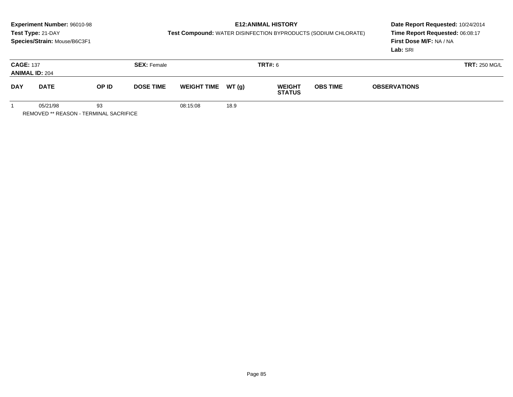# **E12:ANIMAL HISTORY**

**Test Compound:** WATER DISINFECTION BYPRODUCTS (SODIUM CHLORATE)

**Date Report Requested:** 10/24/2014 **Time Report Requested:** 06:08:17**First Dose M/F:** NA / NA**Lab:** SRI

| <b>CAGE: 137</b> | <b>ANIMAL ID: 204</b> |       | <b>SEX: Female</b> |          |                             | <b>TRT#: 6</b>                                                           |  | <b>TRT: 250 MG/L</b> |  |
|------------------|-----------------------|-------|--------------------|----------|-----------------------------|--------------------------------------------------------------------------|--|----------------------|--|
| <b>DAY</b>       | <b>DATE</b>           | OP ID | <b>DOSE TIME</b>   |          | WT(g)<br><b>WEIGHT TIME</b> | <b>OBS TIME</b><br><b>WEIGHT</b><br><b>OBSERVATIONS</b><br><b>STATUS</b> |  |                      |  |
|                  | 05/21/98              | 93    |                    | 08:15:08 | 18.9                        |                                                                          |  |                      |  |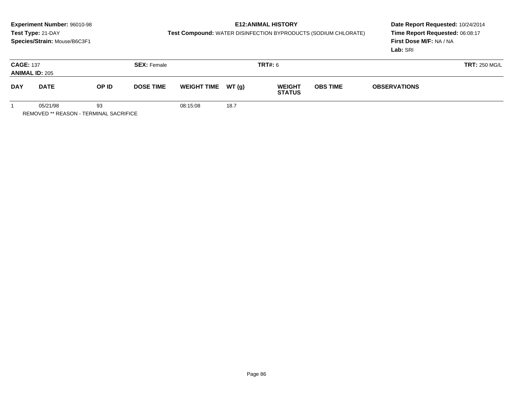# **E12:ANIMAL HISTORY**

**Test Compound:** WATER DISINFECTION BYPRODUCTS (SODIUM CHLORATE)

**Date Report Requested:** 10/24/2014 **Time Report Requested:** 06:08:17**First Dose M/F:** NA / NA**Lab:** SRI

| <b>CAGE: 137</b><br><b>ANIMAL ID: 205</b> |             |    | <b>SEX: Female</b> |                    |       | TRT#: 6                        |                 |                     | <b>TRT: 250 MG/L</b> |
|-------------------------------------------|-------------|----|--------------------|--------------------|-------|--------------------------------|-----------------|---------------------|----------------------|
| <b>DAY</b>                                | <b>DATE</b> |    | <b>DOSE TIME</b>   | <b>WEIGHT TIME</b> | WT(g) | <b>WEIGHT</b><br><b>STATUS</b> | <b>OBS TIME</b> | <b>OBSERVATIONS</b> |                      |
|                                           | 05/21/98    | 93 |                    | 08:15:08           | 18.7  |                                |                 |                     |                      |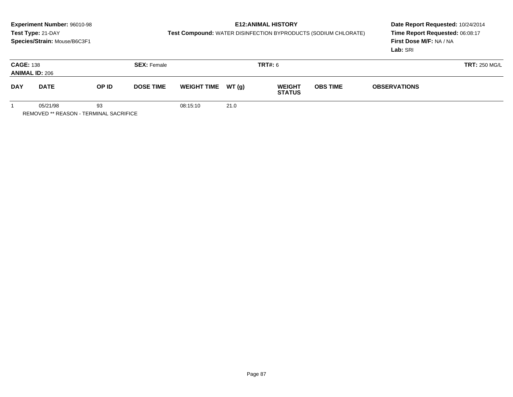# **E12:ANIMAL HISTORY**

**Test Compound:** WATER DISINFECTION BYPRODUCTS (SODIUM CHLORATE)

**Date Report Requested:** 10/24/2014 **Time Report Requested:** 06:08:17**First Dose M/F:** NA / NA**Lab:** SRI

| <b>CAGE: 138</b> | <b>ANIMAL ID: 206</b> |                           | <b>SEX: Female</b> |                     |      | <b>TRT#: 6</b>                 |                 |                     | <b>TRT: 250 MG/L</b> |
|------------------|-----------------------|---------------------------|--------------------|---------------------|------|--------------------------------|-----------------|---------------------|----------------------|
| <b>DAY</b>       | <b>DATE</b>           | OP ID<br><b>DOSE TIME</b> |                    | WEIGHT TIME $WT(g)$ |      | <b>WEIGHT</b><br><b>STATUS</b> | <b>OBS TIME</b> | <b>OBSERVATIONS</b> |                      |
|                  | 05/21/98              | 93                        |                    | 08:15:10            | 21.0 |                                |                 |                     |                      |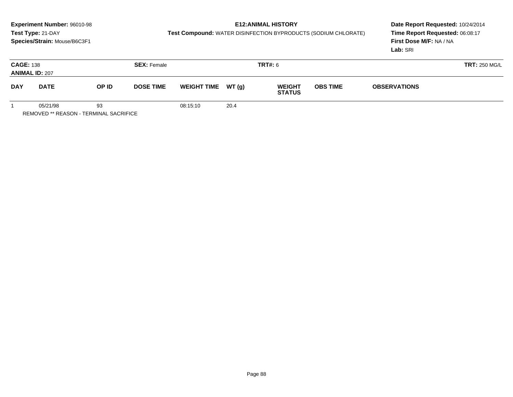# **E12:ANIMAL HISTORY**

**Test Compound:** WATER DISINFECTION BYPRODUCTS (SODIUM CHLORATE)

**Date Report Requested:** 10/24/2014 **Time Report Requested:** 06:08:17**First Dose M/F:** NA / NA**Lab:** SRI

| <b>CAGE: 138</b><br><b>ANIMAL ID: 207</b> |             |       | <b>SEX: Female</b> | <b>TRT#: 6</b>     |       |                                |                                        | <b>TRT: 250 MG/L</b> |  |  |
|-------------------------------------------|-------------|-------|--------------------|--------------------|-------|--------------------------------|----------------------------------------|----------------------|--|--|
| <b>DAY</b>                                | <b>DATE</b> | OP ID | <b>DOSE TIME</b>   | <b>WEIGHT TIME</b> | WT(g) | <b>WEIGHT</b><br><b>STATUS</b> | <b>OBS TIME</b><br><b>OBSERVATIONS</b> |                      |  |  |
|                                           | 05/21/98    | 93    |                    | 08:15:10           | 20.4  |                                |                                        |                      |  |  |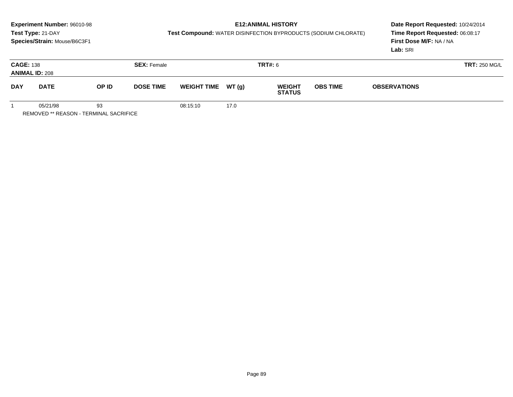# **E12:ANIMAL HISTORY**

**Test Compound:** WATER DISINFECTION BYPRODUCTS (SODIUM CHLORATE)

**Date Report Requested:** 10/24/2014 **Time Report Requested:** 06:08:17**First Dose M/F:** NA / NA**Lab:** SRI

| <b>CAGE: 138</b><br><b>ANIMAL ID: 208</b> |                      |    | <b>SEX: Female</b> | <b>TRT#:</b> 6      |      |                                | <b>TRT: 250 MG/L</b> |                     |  |
|-------------------------------------------|----------------------|----|--------------------|---------------------|------|--------------------------------|----------------------|---------------------|--|
| <b>DAY</b>                                | OP ID<br><b>DATE</b> |    | <b>DOSE TIME</b>   | WEIGHT TIME $WT(g)$ |      | <b>WEIGHT</b><br><b>STATUS</b> | <b>OBS TIME</b>      | <b>OBSERVATIONS</b> |  |
|                                           | 05/21/98             | 93 |                    | 08:15:10            | 17.0 |                                |                      |                     |  |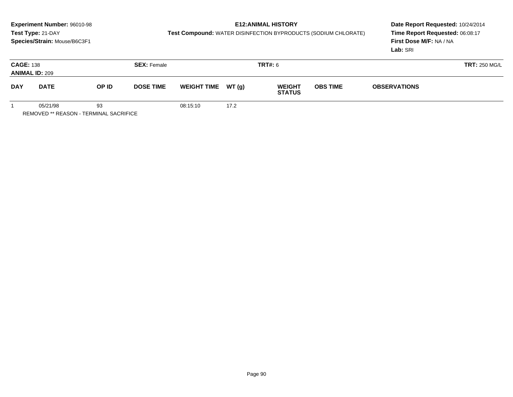# **E12:ANIMAL HISTORY**

**Test Compound:** WATER DISINFECTION BYPRODUCTS (SODIUM CHLORATE)

**Date Report Requested:** 10/24/2014 **Time Report Requested:** 06:08:17**First Dose M/F:** NA / NA**Lab:** SRI

| <b>CAGE: 138</b><br><b>ANIMAL ID: 209</b> |             |       | <b>SEX: Female</b> |                    |       | TRT#: 6                        |                 |                     | <b>TRT: 250 MG/L</b> |
|-------------------------------------------|-------------|-------|--------------------|--------------------|-------|--------------------------------|-----------------|---------------------|----------------------|
| <b>DAY</b>                                | <b>DATE</b> | OP ID | <b>DOSE TIME</b>   | <b>WEIGHT TIME</b> | WT(g) | <b>WEIGHT</b><br><b>STATUS</b> | <b>OBS TIME</b> | <b>OBSERVATIONS</b> |                      |
|                                           | 05/21/98    | 93    |                    | 08:15:10           | 17.2  |                                |                 |                     |                      |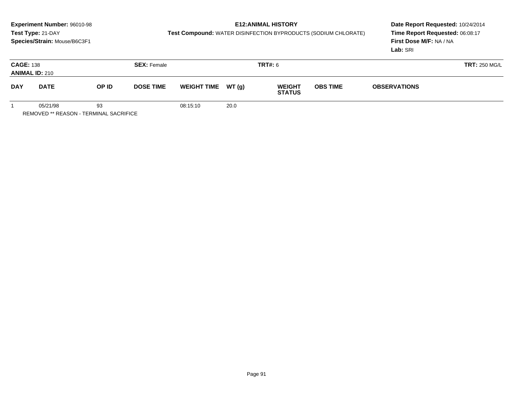# **E12:ANIMAL HISTORY**

**Test Compound:** WATER DISINFECTION BYPRODUCTS (SODIUM CHLORATE)

**Date Report Requested:** 10/24/2014 **Time Report Requested:** 06:08:17**First Dose M/F:** NA / NA**Lab:** SRI

| <b>CAGE: 138</b><br><b>ANIMAL ID: 210</b> |             |       | <b>SEX: Female</b> | <b>TRT#: 6</b>     |       |                                |                 | <b>TRT: 250 MG/L</b> |  |  |
|-------------------------------------------|-------------|-------|--------------------|--------------------|-------|--------------------------------|-----------------|----------------------|--|--|
| <b>DAY</b>                                | <b>DATE</b> | OP ID | <b>DOSE TIME</b>   | <b>WEIGHT TIME</b> | WT(g) | <b>WEIGHT</b><br><b>STATUS</b> | <b>OBS TIME</b> | <b>OBSERVATIONS</b>  |  |  |
|                                           | 05/21/98    | 93    |                    | 08:15:10           | 20.0  |                                |                 |                      |  |  |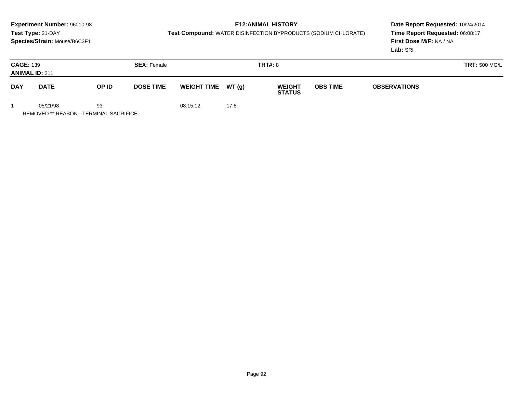# **E12:ANIMAL HISTORY**

**Test Compound:** WATER DISINFECTION BYPRODUCTS (SODIUM CHLORATE)

**Date Report Requested:** 10/24/2014 **Time Report Requested:** 06:08:17**First Dose M/F:** NA / NA**Lab:** SRI

| <b>CAGE: 139</b><br><b>ANIMAL ID: 211</b> |             |       | <b>SEX: Female</b> |          |                     | <b>TRT#: 8</b>                                                           |  | <b>TRT: 500 MG/L</b> |  |
|-------------------------------------------|-------------|-------|--------------------|----------|---------------------|--------------------------------------------------------------------------|--|----------------------|--|
| <b>DAY</b>                                | <b>DATE</b> | OP ID | <b>DOSE TIME</b>   |          | WEIGHT TIME $WT(g)$ | <b>OBS TIME</b><br><b>WEIGHT</b><br><b>OBSERVATIONS</b><br><b>STATUS</b> |  |                      |  |
|                                           | 05/21/98    | 93    |                    | 08:15:12 | 17.8                |                                                                          |  |                      |  |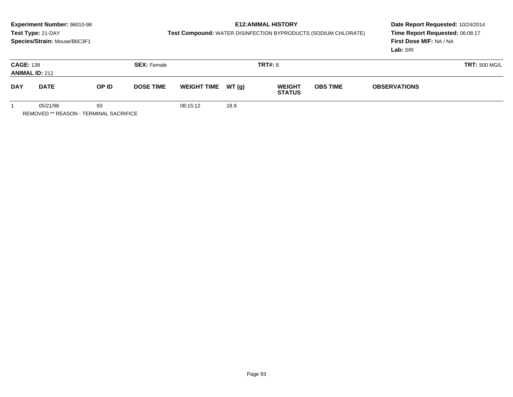# **E12:ANIMAL HISTORY**

**Test Compound:** WATER DISINFECTION BYPRODUCTS (SODIUM CHLORATE)

**Date Report Requested:** 10/24/2014 **Time Report Requested:** 06:08:17**First Dose M/F:** NA / NA**Lab:** SRI

| <b>CAGE: 139</b> | <b>ANIMAL ID: 212</b> |       | <b>SEX: Female</b>                     | <b>TRT#: 8</b> |       |                                |                                        |  | <b>TRT: 500 MG/L</b> |
|------------------|-----------------------|-------|----------------------------------------|----------------|-------|--------------------------------|----------------------------------------|--|----------------------|
| <b>DAY</b>       | <b>DATE</b>           | OP ID | <b>WEIGHT TIME</b><br><b>DOSE TIME</b> |                | WT(g) | <b>WEIGHT</b><br><b>STATUS</b> | <b>OBS TIME</b><br><b>OBSERVATIONS</b> |  |                      |
|                  | 05/21/98              | 93    |                                        | 08:15:12       | 18.9  |                                |                                        |  |                      |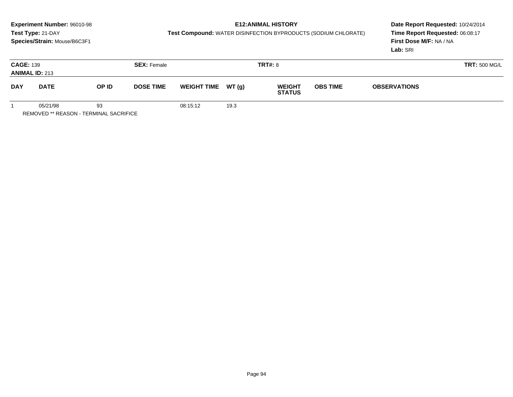# **E12:ANIMAL HISTORY**

**Test Compound:** WATER DISINFECTION BYPRODUCTS (SODIUM CHLORATE)

**Date Report Requested:** 10/24/2014 **Time Report Requested:** 06:08:17**First Dose M/F:** NA / NA**Lab:** SRI

| <b>CAGE: 139</b> | <b>ANIMAL ID: 213</b> |                           | <b>SEX: Female</b> |                    |       | <b>TRT#: 8</b>                                                           |  | <b>TRT: 500 MG/L</b> |  |
|------------------|-----------------------|---------------------------|--------------------|--------------------|-------|--------------------------------------------------------------------------|--|----------------------|--|
| <b>DAY</b>       | <b>DATE</b>           | OP ID<br><b>DOSE TIME</b> |                    | <b>WEIGHT TIME</b> | WT(g) | <b>OBS TIME</b><br><b>WEIGHT</b><br><b>OBSERVATIONS</b><br><b>STATUS</b> |  |                      |  |
|                  | 05/21/98              | 93                        |                    | 08:15:12           | 19.3  |                                                                          |  |                      |  |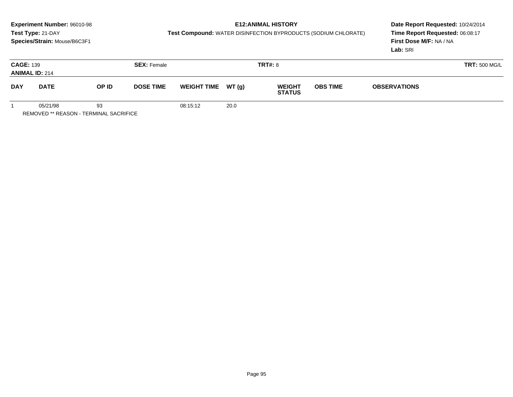# **E12:ANIMAL HISTORY**

**Test Compound:** WATER DISINFECTION BYPRODUCTS (SODIUM CHLORATE)

**Date Report Requested:** 10/24/2014 **Time Report Requested:** 06:08:17**First Dose M/F:** NA / NA**Lab:** SRI

| <b>CAGE: 139</b><br><b>ANIMAL ID: 214</b> |             |       | <b>SEX: Female</b> |                     |      | <b>TRT#: 8</b>                 |                 | <b>TRT: 500 MG/L</b> |  |
|-------------------------------------------|-------------|-------|--------------------|---------------------|------|--------------------------------|-----------------|----------------------|--|
| <b>DAY</b>                                | <b>DATE</b> | OP ID | <b>DOSE TIME</b>   | WEIGHT TIME $WT(g)$ |      | <b>WEIGHT</b><br><b>STATUS</b> | <b>OBS TIME</b> | <b>OBSERVATIONS</b>  |  |
|                                           | 05/21/98    | 93    |                    | 08:15:12            | 20.0 |                                |                 |                      |  |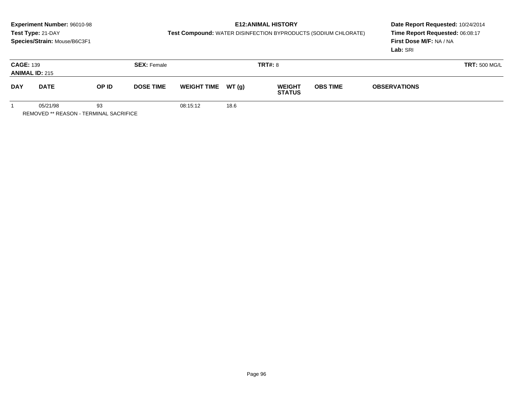# **E12:ANIMAL HISTORY**

**Test Compound:** WATER DISINFECTION BYPRODUCTS (SODIUM CHLORATE)

**Date Report Requested:** 10/24/2014 **Time Report Requested:** 06:08:17**First Dose M/F:** NA / NA**Lab:** SRI

| <b>CAGE: 139</b> | <b>ANIMAL ID: 215</b> |       | <b>SEX: Female</b> | <b>TRT#: 8</b> |                             |                                |                 | <b>TRT: 500 MG/L</b> |  |  |
|------------------|-----------------------|-------|--------------------|----------------|-----------------------------|--------------------------------|-----------------|----------------------|--|--|
| <b>DAY</b>       | <b>DATE</b>           | OP ID | <b>DOSE TIME</b>   |                | WT(g)<br><b>WEIGHT TIME</b> | <b>WEIGHT</b><br><b>STATUS</b> | <b>OBS TIME</b> | <b>OBSERVATIONS</b>  |  |  |
|                  | 05/21/98              | 93    |                    | 08:15:12       | 18.6                        |                                |                 |                      |  |  |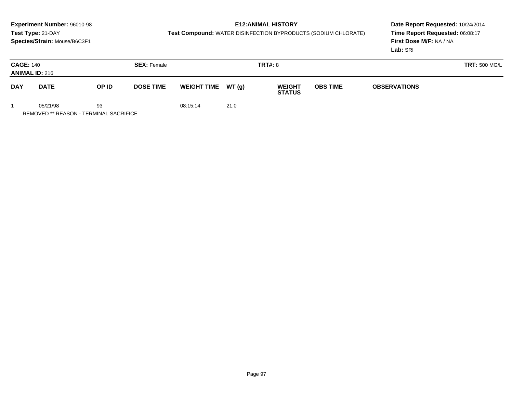# **E12:ANIMAL HISTORY**

**Test Compound:** WATER DISINFECTION BYPRODUCTS (SODIUM CHLORATE)

**Date Report Requested:** 10/24/2014 **Time Report Requested:** 06:08:17**First Dose M/F:** NA / NA**Lab:** SRI

| <b>CAGE: 140</b> | <b>ANIMAL ID: 216</b> |                           | <b>SEX: Female</b> |                     |      | <b>TRT#: 8</b>                 |                                        | <b>TRT: 500 MG/L</b> |  |  |
|------------------|-----------------------|---------------------------|--------------------|---------------------|------|--------------------------------|----------------------------------------|----------------------|--|--|
| <b>DAY</b>       | <b>DATE</b>           | OP ID<br><b>DOSE TIME</b> |                    | WEIGHT TIME $WT(g)$ |      | <b>WEIGHT</b><br><b>STATUS</b> | <b>OBS TIME</b><br><b>OBSERVATIONS</b> |                      |  |  |
|                  | 05/21/98              | 93                        |                    | 08:15:14            | 21.0 |                                |                                        |                      |  |  |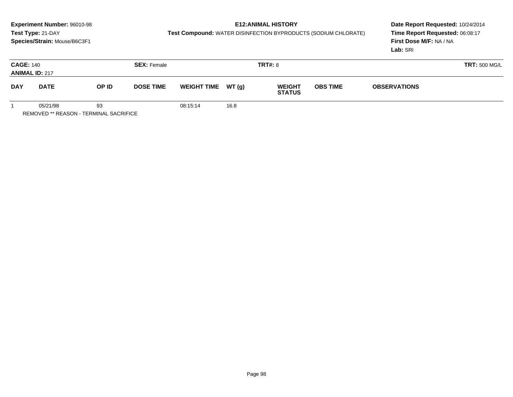# **E12:ANIMAL HISTORY**

**Test Compound:** WATER DISINFECTION BYPRODUCTS (SODIUM CHLORATE)

**Date Report Requested:** 10/24/2014 **Time Report Requested:** 06:08:17**First Dose M/F:** NA / NA**Lab:** SRI

| <b>CAGE: 140</b> | <b>ANIMAL ID: 217</b> |       | <b>SEX: Female</b> |                                        |  | <b>TRT#: 8</b>                 |                 | <b>TRT: 500 MG/L</b> |  |
|------------------|-----------------------|-------|--------------------|----------------------------------------|--|--------------------------------|-----------------|----------------------|--|
| <b>DAY</b>       | <b>DATE</b>           | OP ID |                    | <b>WEIGHT TIME</b><br><b>DOSE TIME</b> |  | <b>WEIGHT</b><br><b>STATUS</b> | <b>OBS TIME</b> | <b>OBSERVATIONS</b>  |  |
|                  | 05/21/98<br>93        |       | 08:15:14           | 16.8                                   |  |                                |                 |                      |  |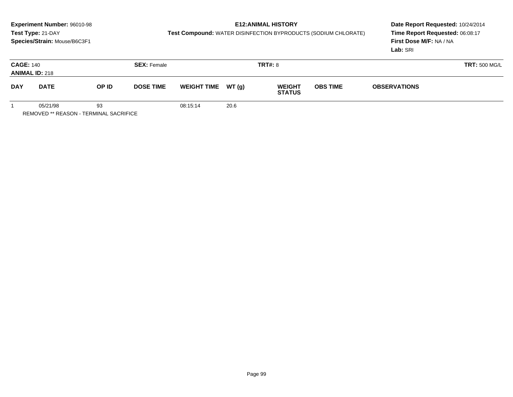# **E12:ANIMAL HISTORY**

**Test Compound:** WATER DISINFECTION BYPRODUCTS (SODIUM CHLORATE)

**Date Report Requested:** 10/24/2014 **Time Report Requested:** 06:08:17**First Dose M/F:** NA / NA**Lab:** SRI

| <b>CAGE: 140</b> | <b>ANIMAL ID: 218</b> |       | <b>SEX: Female</b> |                                        |      | <b>TRT#: 8</b>                          |  |                     | <b>TRT: 500 MG/L</b> |
|------------------|-----------------------|-------|--------------------|----------------------------------------|------|-----------------------------------------|--|---------------------|----------------------|
| <b>DAY</b>       | <b>DATE</b>           | OP ID |                    | <b>WEIGHT TIME</b><br><b>DOSE TIME</b> |      | WT(g)<br><b>WEIGHT</b><br><b>STATUS</b> |  | <b>OBSERVATIONS</b> |                      |
|                  | 05/21/98              | 93    |                    | 08:15:14                               | 20.6 |                                         |  |                     |                      |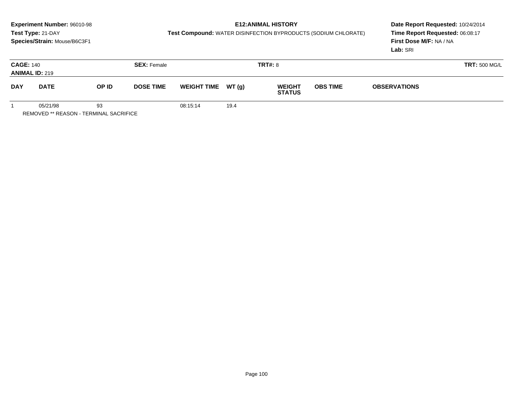# **E12:ANIMAL HISTORY**

**Test Compound:** WATER DISINFECTION BYPRODUCTS (SODIUM CHLORATE)

**Date Report Requested:** 10/24/2014 **Time Report Requested:** 06:08:17**First Dose M/F:** NA / NA**Lab:** SRI

| <b>CAGE: 140</b><br><b>ANIMAL ID: 219</b> |          |       | <b>SEX: Female</b> |                     |      | <b>TRT#: 8</b>                 |                 |  | <b>TRT: 500 MG/L</b> |
|-------------------------------------------|----------|-------|--------------------|---------------------|------|--------------------------------|-----------------|--|----------------------|
| <b>DAY</b><br><b>DATE</b>                 |          | OP ID | <b>DOSE TIME</b>   | WEIGHT TIME $WT(g)$ |      | <b>WEIGHT</b><br><b>STATUS</b> | <b>OBS TIME</b> |  |                      |
|                                           | 05/21/98 | 93    |                    | 08:15:14            | 19.4 |                                |                 |  |                      |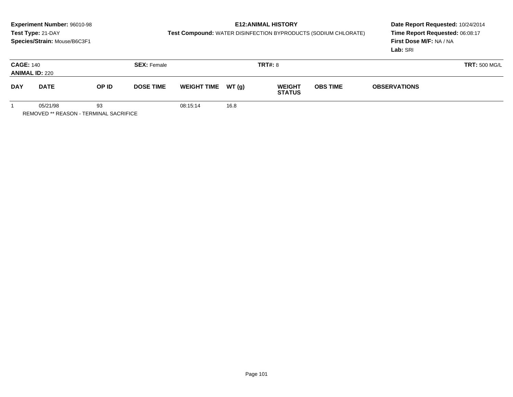# **E12:ANIMAL HISTORY**

**Test Compound:** WATER DISINFECTION BYPRODUCTS (SODIUM CHLORATE)

**Date Report Requested:** 10/24/2014 **Time Report Requested:** 06:08:17**First Dose M/F:** NA / NA**Lab:** SRI

| <b>CAGE: 140</b><br><b>ANIMAL ID: 220</b> |             |       | <b>SEX: Female</b> |                     |      | <b>TRT#: 8</b>                 |                 |  | <b>TRT: 500 MG/L</b> |
|-------------------------------------------|-------------|-------|--------------------|---------------------|------|--------------------------------|-----------------|--|----------------------|
| <b>DAY</b>                                | <b>DATE</b> | OP ID | <b>DOSE TIME</b>   | WEIGHT TIME $WT(g)$ |      | <b>WEIGHT</b><br><b>STATUS</b> | <b>OBS TIME</b> |  |                      |
|                                           | 05/21/98    | 93    |                    | 08:15:14            | 16.8 |                                |                 |  |                      |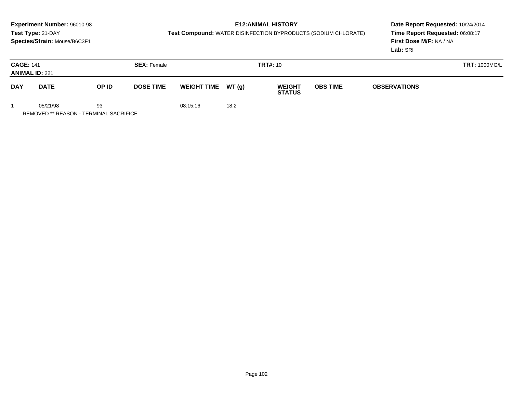# **E12:ANIMAL HISTORY**

**Test Compound:** WATER DISINFECTION BYPRODUCTS (SODIUM CHLORATE)

**Date Report Requested:** 10/24/2014 **Time Report Requested:** 06:08:17**First Dose M/F:** NA / NA**Lab:** SRI

| <b>CAGE: 141</b><br><b>ANIMAL ID: 221</b> |          |                                                                   | <b>SEX: Female</b> |                    |      | <b>TRT#: 10</b>                |                 | <b>TRT: 1000MG/L</b> |  |
|-------------------------------------------|----------|-------------------------------------------------------------------|--------------------|--------------------|------|--------------------------------|-----------------|----------------------|--|
| <b>DAY</b><br><b>DATE</b>                 |          | OP ID<br><b>DOSE TIME</b>                                         |                    | WEIGHT TIME WT (g) |      | <b>WEIGHT</b><br><b>STATUS</b> | <b>OBS TIME</b> | <b>OBSERVATIONS</b>  |  |
|                                           | 05/21/98 | 93<br>$P = 100$ $P = 100$ $P = 100$ $P = 100$ $P = 100$ $P = 100$ |                    | 08:15:16           | 18.2 |                                |                 |                      |  |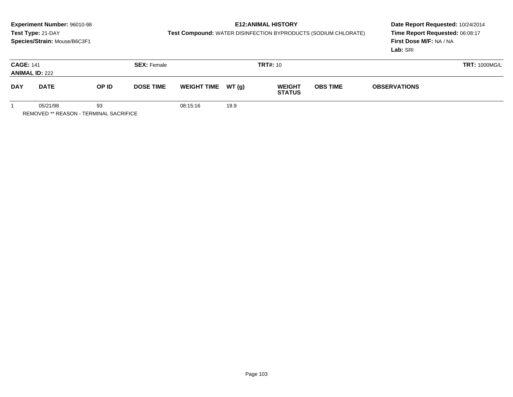# **E12:ANIMAL HISTORY**

**Test Compound:** WATER DISINFECTION BYPRODUCTS (SODIUM CHLORATE)

**Date Report Requested:** 10/24/2014 **Time Report Requested:** 06:08:17**First Dose M/F:** NA / NA**Lab:** SRI

| <b>CAGE: 141</b><br><b>ANIMAL ID: 222</b>              |          |                    | <b>SEX: Female</b> |                                |                 | <b>TRT#: 10</b>     |  | <b>TRT: 1000MG/L</b> |  |
|--------------------------------------------------------|----------|--------------------|--------------------|--------------------------------|-----------------|---------------------|--|----------------------|--|
| <b>DAY</b><br>OP ID<br><b>DATE</b><br><b>DOSE TIME</b> |          | <b>WEIGHT TIME</b> | WT (g)             | <b>WEIGHT</b><br><b>STATUS</b> | <b>OBS TIME</b> | <b>OBSERVATIONS</b> |  |                      |  |
|                                                        | 05/21/98 | 93                 |                    | 08:15:16                       | 19.9            |                     |  |                      |  |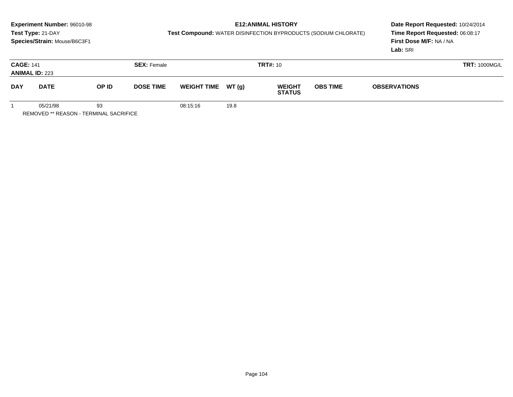# **E12:ANIMAL HISTORY**

**Test Compound:** WATER DISINFECTION BYPRODUCTS (SODIUM CHLORATE)

**Date Report Requested:** 10/24/2014 **Time Report Requested:** 06:08:17**First Dose M/F:** NA / NA**Lab:** SRI

| <b>CAGE: 141</b> | <b>ANIMAL ID: 223</b>                                                   |                           | <b>SEX: Female</b> |                                                       |      | <b>TRT#: 10</b> |                 | <b>TRT: 1000MG/L</b> |  |  |
|------------------|-------------------------------------------------------------------------|---------------------------|--------------------|-------------------------------------------------------|------|-----------------|-----------------|----------------------|--|--|
| <b>DAY</b>       | <b>DATE</b>                                                             | OP ID<br><b>DOSE TIME</b> |                    | WEIGHT TIME $WT(g)$<br><b>WEIGHT</b><br><b>STATUS</b> |      |                 | <b>OBS TIME</b> | <b>OBSERVATIONS</b>  |  |  |
|                  | 05/21/98<br>$P = 100$ $P = 100$ $P = 100$ $P = 100$ $P = 100$ $P = 100$ | 93                        |                    | 08:15:16                                              | 19.8 |                 |                 |                      |  |  |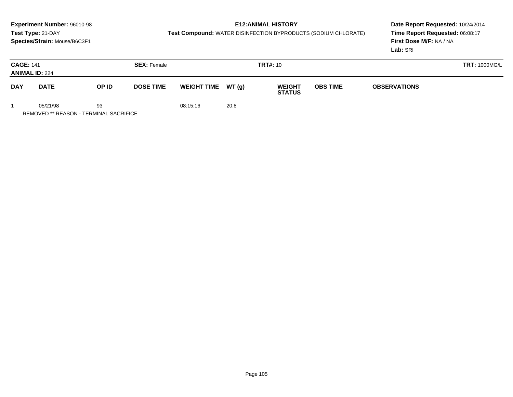# **E12:ANIMAL HISTORY**

**Test Compound:** WATER DISINFECTION BYPRODUCTS (SODIUM CHLORATE)

**Date Report Requested:** 10/24/2014 **Time Report Requested:** 06:08:17**First Dose M/F:** NA / NA**Lab:** SRI

| <b>CAGE: 141</b> | <b>ANIMAL ID: 224</b>                                     |                           | <b>SEX: Female</b> |                     |      | <b>TRT#: 10</b>                | <b>TRT: 1000MG/L</b> |  |  |
|------------------|-----------------------------------------------------------|---------------------------|--------------------|---------------------|------|--------------------------------|----------------------|--|--|
| <b>DAY</b>       | <b>DATE</b>                                               | OP ID<br><b>DOSE TIME</b> |                    | WEIGHT TIME $WT(g)$ |      | <b>WEIGHT</b><br><b>STATUS</b> | <b>OBS TIME</b>      |  |  |
|                  | 05/21/98<br>$D = 100$ (FB $\pm 0.5$ CALL TEDUCH) ALONE OF | 93                        |                    | 08:15:16            | 20.8 |                                |                      |  |  |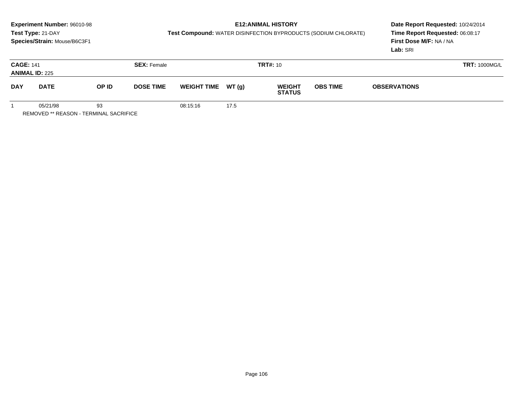# **E12:ANIMAL HISTORY**

**Test Compound:** WATER DISINFECTION BYPRODUCTS (SODIUM CHLORATE)

**Date Report Requested:** 10/24/2014 **Time Report Requested:** 06:08:17**First Dose M/F:** NA / NA**Lab:** SRI

|            | <b>CAGE: 141</b><br><b>SEX: Female</b><br><b>ANIMAL ID: 225</b> |    |  |                     |      | <b>TRT#:</b> 10                |                 | <b>TRT: 1000MG/L</b> |  |
|------------|-----------------------------------------------------------------|----|--|---------------------|------|--------------------------------|-----------------|----------------------|--|
| <b>DAY</b> | OP ID<br><b>DOSE TIME</b><br><b>DATE</b>                        |    |  | WEIGHT TIME $WT(g)$ |      | <b>WEIGHT</b><br><b>STATUS</b> | <b>OBS TIME</b> | <b>OBSERVATIONS</b>  |  |
|            | 05/21/98                                                        | 93 |  | 08:15:16            | 17.5 |                                |                 |                      |  |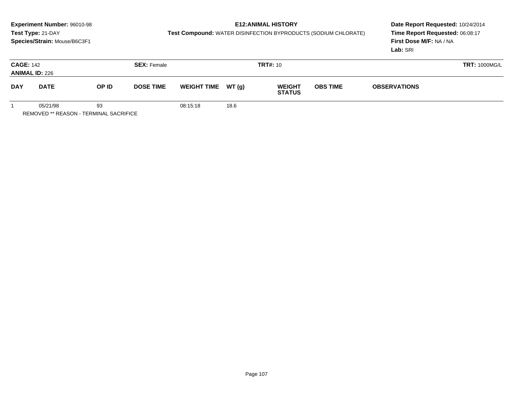# **E12:ANIMAL HISTORY**

**Test Compound:** WATER DISINFECTION BYPRODUCTS (SODIUM CHLORATE)

**Date Report Requested:** 10/24/2014 **Time Report Requested:** 06:08:17**First Dose M/F:** NA / NA**Lab:** SRI

|            | <b>CAGE: 142</b><br><b>SEX: Female</b><br><b>ANIMAL ID: 226</b> |    |                  |                     |      | <b>TRT#:</b> 10                |                 | <b>TRT: 1000MG/L</b> |  |
|------------|-----------------------------------------------------------------|----|------------------|---------------------|------|--------------------------------|-----------------|----------------------|--|
| <b>DAY</b> | OP ID<br><b>DATE</b>                                            |    | <b>DOSE TIME</b> | WEIGHT TIME $WT(g)$ |      | <b>WEIGHT</b><br><b>STATUS</b> | <b>OBS TIME</b> | <b>OBSERVATIONS</b>  |  |
|            | 05/21/98                                                        | 93 |                  | 08:15:18            | 18.6 |                                |                 |                      |  |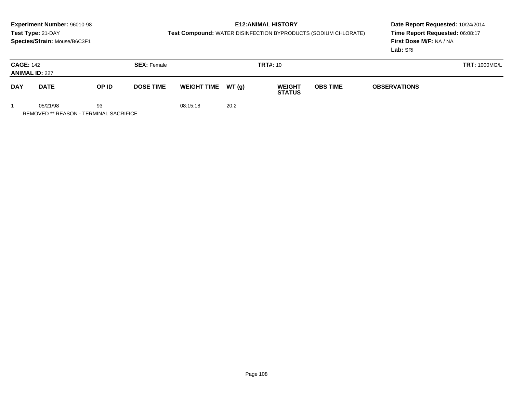# **E12:ANIMAL HISTORY**

**Test Compound:** WATER DISINFECTION BYPRODUCTS (SODIUM CHLORATE)

**Date Report Requested:** 10/24/2014 **Time Report Requested:** 06:08:17**First Dose M/F:** NA / NA**Lab:** SRI

| <b>CAGE: 142</b> | <b>ANIMAL ID: 227</b>                                    |                           | <b>SEX: Female</b> |          |                                                       | <b>TRT#:</b> 10 | <b>TRT: 1000MG/L</b> |                                        |  |  |
|------------------|----------------------------------------------------------|---------------------------|--------------------|----------|-------------------------------------------------------|-----------------|----------------------|----------------------------------------|--|--|
| <b>DAY</b>       | <b>DATE</b>                                              | OP ID<br><b>DOSE TIME</b> |                    |          | WEIGHT TIME $WT(g)$<br><b>WEIGHT</b><br><b>STATUS</b> |                 |                      | <b>OBS TIME</b><br><b>OBSERVATIONS</b> |  |  |
|                  | 05/21/98<br>93<br>DEMOVED ** DEAGONL TEDMINIAL OAGDIELOE |                           |                    | 08:15:18 | 20.2                                                  |                 |                      |                                        |  |  |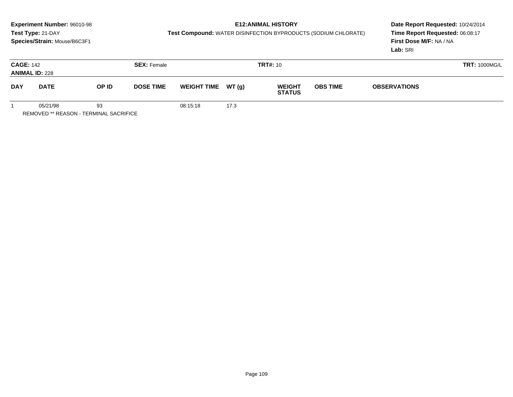#### **E12:ANIMAL HISTORY**

**Test Compound:** WATER DISINFECTION BYPRODUCTS (SODIUM CHLORATE)

**Date Report Requested:** 10/24/2014 **Time Report Requested:** 06:08:17**First Dose M/F:** NA / NA**Lab:** SRI

| <b>CAGE: 142</b><br><b>ANIMAL ID: 228</b> |          |       | <b>SEX: Female</b> |                     |      | <b>TRT#:</b> 10                |                 | <b>TRT: 1000MG/L</b> |  |  |
|-------------------------------------------|----------|-------|--------------------|---------------------|------|--------------------------------|-----------------|----------------------|--|--|
| <b>DAY</b><br><b>DATE</b>                 |          | OP ID | <b>DOSE TIME</b>   | WEIGHT TIME $WT(g)$ |      | <b>WEIGHT</b><br><b>STATUS</b> | <b>OBS TIME</b> | <b>OBSERVATIONS</b>  |  |  |
|                                           | 05/21/98 | 93    |                    | 08:15:18            | 17.3 |                                |                 |                      |  |  |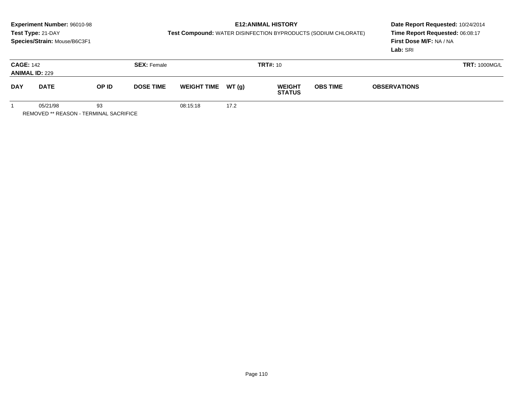# **E12:ANIMAL HISTORY**

**Test Compound:** WATER DISINFECTION BYPRODUCTS (SODIUM CHLORATE)

**Date Report Requested:** 10/24/2014 **Time Report Requested:** 06:08:17**First Dose M/F:** NA / NA**Lab:** SRI

| <b>CAGE: 142</b>          | <b>ANIMAL ID: 229</b> |                                                                   | <b>SEX: Female</b> |                    |      | <b>TRT#: 10</b>                |                 | <b>TRT: 1000MG/L</b> |  |
|---------------------------|-----------------------|-------------------------------------------------------------------|--------------------|--------------------|------|--------------------------------|-----------------|----------------------|--|
| <b>DAY</b><br><b>DATE</b> |                       | OP ID                                                             | <b>DOSE TIME</b>   | WEIGHT TIME WT (g) |      | <b>WEIGHT</b><br><b>STATUS</b> | <b>OBS TIME</b> | <b>OBSERVATIONS</b>  |  |
|                           | 05/21/98              | 93<br>$P = 100$ $P = 100$ $P = 100$ $P = 100$ $P = 100$ $P = 100$ |                    | 08:15:18           | 17.2 |                                |                 |                      |  |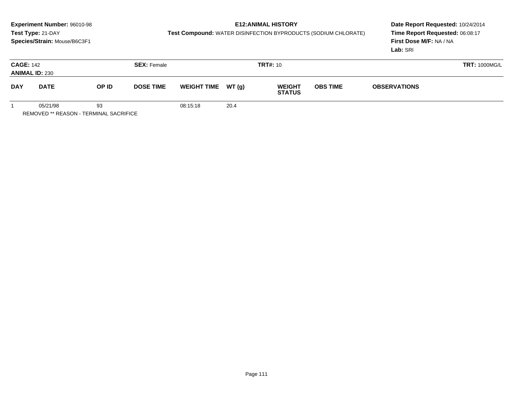# **E12:ANIMAL HISTORY**

**Test Compound:** WATER DISINFECTION BYPRODUCTS (SODIUM CHLORATE)

**Date Report Requested:** 10/24/2014 **Time Report Requested:** 06:08:17**First Dose M/F:** NA / NA**Lab:** SRI

|            | <b>CAGE: 142</b><br><b>ANIMAL ID: 230</b>                 |       | <b>SEX: Female</b> |          |                                                       | <b>TRT#: 10</b> |  | <b>TRT: 1000MG/L</b> |  |
|------------|-----------------------------------------------------------|-------|--------------------|----------|-------------------------------------------------------|-----------------|--|----------------------|--|
| <b>DAY</b> | <b>DATE</b>                                               | OP ID | <b>DOSE TIME</b>   |          | WEIGHT TIME $WT(g)$<br><b>WEIGHT</b><br><b>STATUS</b> |                 |  | <b>OBSERVATIONS</b>  |  |
|            | 05/21/98<br>$D = 100$ (FB $\pm 0.5$ CALL TEDUCH) ALONE OF | 93    |                    | 08:15:18 | 20.4                                                  |                 |  |                      |  |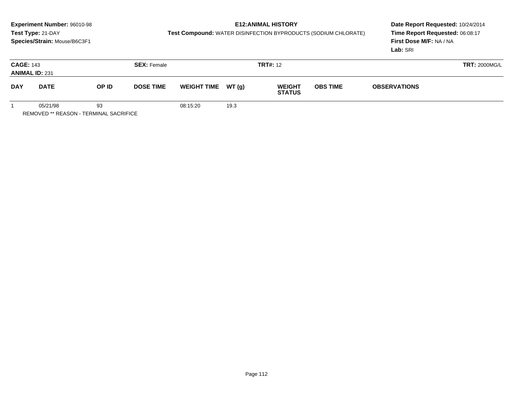# **E12:ANIMAL HISTORY**

**Test Compound:** WATER DISINFECTION BYPRODUCTS (SODIUM CHLORATE)

**Date Report Requested:** 10/24/2014 **Time Report Requested:** 06:08:17**First Dose M/F:** NA / NA**Lab:** SRI

| <b>CAGE: 143</b><br><b>ANIMAL ID: 231</b> |             | <b>SEX: Female</b> |                  |                     | <b>TRT#:</b> 12 |                                |                                        | <b>TRT: 2000MG/L</b> |  |
|-------------------------------------------|-------------|--------------------|------------------|---------------------|-----------------|--------------------------------|----------------------------------------|----------------------|--|
| <b>DAY</b>                                | <b>DATE</b> | OP ID              | <b>DOSE TIME</b> | WEIGHT TIME $WT(g)$ |                 | <b>WEIGHT</b><br><b>STATUS</b> | <b>OBS TIME</b><br><b>OBSERVATIONS</b> |                      |  |
|                                           | 05/21/98    | 93                 |                  | 08:15:20            | 19.3            |                                |                                        |                      |  |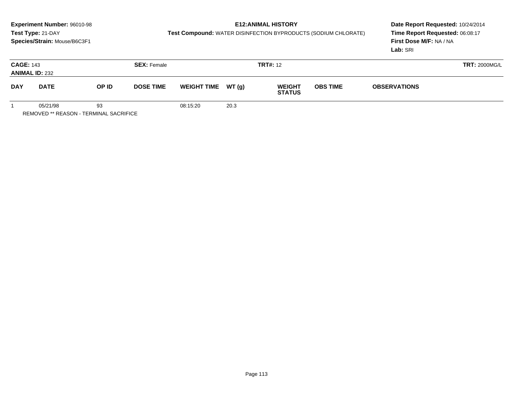# **E12:ANIMAL HISTORY**

**Test Compound:** WATER DISINFECTION BYPRODUCTS (SODIUM CHLORATE)

**Date Report Requested:** 10/24/2014 **Time Report Requested:** 06:08:17**First Dose M/F:** NA / NA**Lab:** SRI

| <b>CAGE: 143</b> | <b>ANIMAL ID: 232</b>                                     |       | <b>SEX: Female</b> |                     |      | <b>TRT#:</b> 12                |                 | <b>TRT: 2000MG/L</b> |  |
|------------------|-----------------------------------------------------------|-------|--------------------|---------------------|------|--------------------------------|-----------------|----------------------|--|
| <b>DAY</b>       | <b>DATE</b>                                               | OP ID | <b>DOSE TIME</b>   | WEIGHT TIME $WT(g)$ |      | <b>WEIGHT</b><br><b>STATUS</b> | <b>OBS TIME</b> | <b>OBSERVATIONS</b>  |  |
|                  | 05/21/98<br>$D = 100$ (FB $\pm 0.5$ CALL TEDUCH) ALONE OF | 93    |                    | 08:15:20            | 20.3 |                                |                 |                      |  |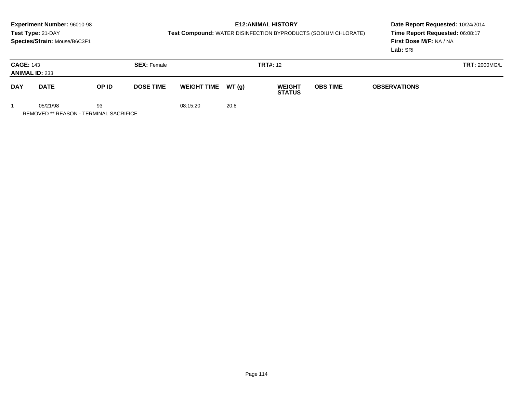# **E12:ANIMAL HISTORY**

**Test Compound:** WATER DISINFECTION BYPRODUCTS (SODIUM CHLORATE)

**Date Report Requested:** 10/24/2014 **Time Report Requested:** 06:08:17**First Dose M/F:** NA / NA**Lab:** SRI

| <b>CAGE: 143</b>          | <b>ANIMAL ID: 233</b> |                                                                   | <b>SEX: Female</b> |                    |      | <b>TRT#:</b> 12                |                                        |  |  |  |
|---------------------------|-----------------------|-------------------------------------------------------------------|--------------------|--------------------|------|--------------------------------|----------------------------------------|--|--|--|
| <b>DAY</b><br><b>DATE</b> |                       | OP ID                                                             | <b>DOSE TIME</b>   | WEIGHT TIME WT (g) |      | <b>WEIGHT</b><br><b>STATUS</b> | <b>OBS TIME</b><br><b>OBSERVATIONS</b> |  |  |  |
|                           | 05/21/98              | 93<br>$P = 100$ $P = 100$ $P = 100$ $P = 100$ $P = 100$ $P = 100$ |                    | 08:15:20           | 20.8 |                                |                                        |  |  |  |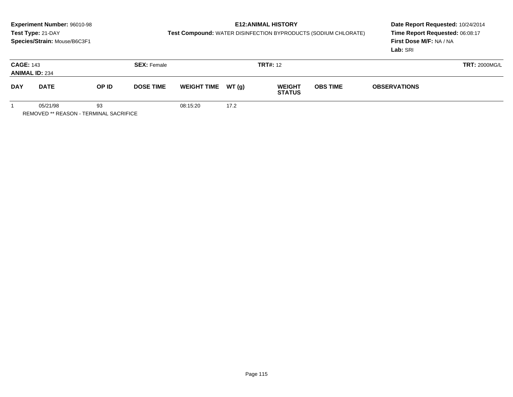# **E12:ANIMAL HISTORY**

**Test Compound:** WATER DISINFECTION BYPRODUCTS (SODIUM CHLORATE)

**Date Report Requested:** 10/24/2014 **Time Report Requested:** 06:08:17**First Dose M/F:** NA / NA**Lab:** SRI

| <b>CAGE: 143</b><br><b>ANIMAL ID: 234</b> |             |       | <b>SEX: Female</b> |                     |      | <b>TRT#:</b> 12                |                 | <b>TRT: 2000MG/L</b> |  |
|-------------------------------------------|-------------|-------|--------------------|---------------------|------|--------------------------------|-----------------|----------------------|--|
| <b>DAY</b>                                | <b>DATE</b> | OP ID | <b>DOSE TIME</b>   | WEIGHT TIME $WT(g)$ |      | <b>WEIGHT</b><br><b>STATUS</b> | <b>OBS TIME</b> | <b>OBSERVATIONS</b>  |  |
|                                           | 05/21/98    | 93    |                    | 08:15:20            | 17.2 |                                |                 |                      |  |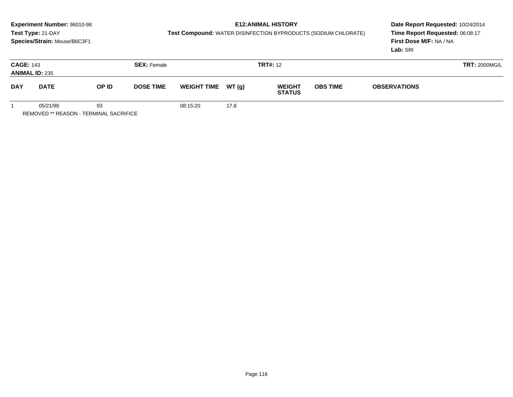# **E12:ANIMAL HISTORY**

**Test Compound:** WATER DISINFECTION BYPRODUCTS (SODIUM CHLORATE)

**Date Report Requested:** 10/24/2014 **Time Report Requested:** 06:08:17**First Dose M/F:** NA / NA**Lab:** SRI

| <b>CAGE: 143</b> | <b>ANIMAL ID: 235</b> | <b>SEX: Female</b> |                  |                     | <b>TRT#:</b> 12 |                                |                 | <b>TRT: 2000MG/L</b> |  |
|------------------|-----------------------|--------------------|------------------|---------------------|-----------------|--------------------------------|-----------------|----------------------|--|
| <b>DAY</b>       | <b>DATE</b>           | OP ID              | <b>DOSE TIME</b> | WEIGHT TIME $WT(g)$ |                 | <b>WEIGHT</b><br><b>STATUS</b> | <b>OBS TIME</b> | <b>OBSERVATIONS</b>  |  |
|                  | 05/21/98              | 93                 |                  | 08:15:20            | 17.8            |                                |                 |                      |  |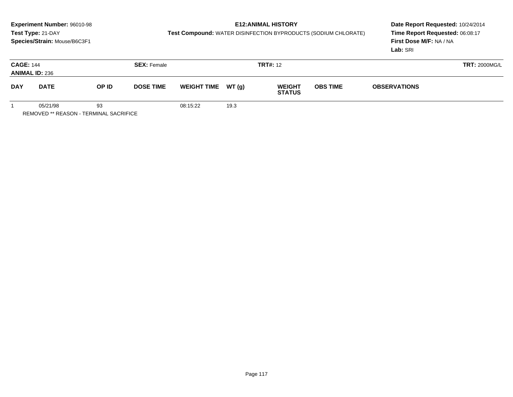# **E12:ANIMAL HISTORY**

**Test Compound:** WATER DISINFECTION BYPRODUCTS (SODIUM CHLORATE)

**Date Report Requested:** 10/24/2014 **Time Report Requested:** 06:08:17**First Dose M/F:** NA / NA**Lab:** SRI

| <b>CAGE: 144</b><br><b>ANIMAL ID: 236</b> |             | <b>SEX: Female</b> |                  |                     |      | <b>TRT#: 12</b>                |                 |                     | <b>TRT: 2000MG/L</b> |
|-------------------------------------------|-------------|--------------------|------------------|---------------------|------|--------------------------------|-----------------|---------------------|----------------------|
| <b>DAY</b>                                | <b>DATE</b> | OP ID              | <b>DOSE TIME</b> | WEIGHT TIME $WT(g)$ |      | <b>WEIGHT</b><br><b>STATUS</b> | <b>OBS TIME</b> | <b>OBSERVATIONS</b> |                      |
|                                           | 05/21/98    | 93                 |                  | 08:15:22            | 19.3 |                                |                 |                     |                      |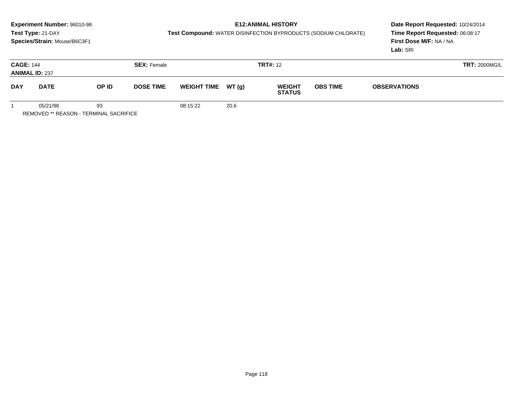# **E12:ANIMAL HISTORY**

**Test Compound:** WATER DISINFECTION BYPRODUCTS (SODIUM CHLORATE)

**Date Report Requested:** 10/24/2014 **Time Report Requested:** 06:08:17**First Dose M/F:** NA / NA**Lab:** SRI

| <b>CAGE: 144</b><br><b>ANIMAL ID: 237</b> |             |                                                                   | <b>SEX: Female</b> |                     |      | <b>TRT#:</b> 12                |                 | <b>TRT: 2000MG/L</b> |  |
|-------------------------------------------|-------------|-------------------------------------------------------------------|--------------------|---------------------|------|--------------------------------|-----------------|----------------------|--|
| <b>DAY</b>                                | <b>DATE</b> | OP ID                                                             | <b>DOSE TIME</b>   | WEIGHT TIME $WT(g)$ |      | <b>WEIGHT</b><br><b>STATUS</b> | <b>OBS TIME</b> | <b>OBSERVATIONS</b>  |  |
|                                           | 05/21/98    | 93<br>$P = 100$ $P = 100$ $P = 100$ $P = 100$ $P = 100$ $P = 100$ |                    | 08:15:22            | 20.6 |                                |                 |                      |  |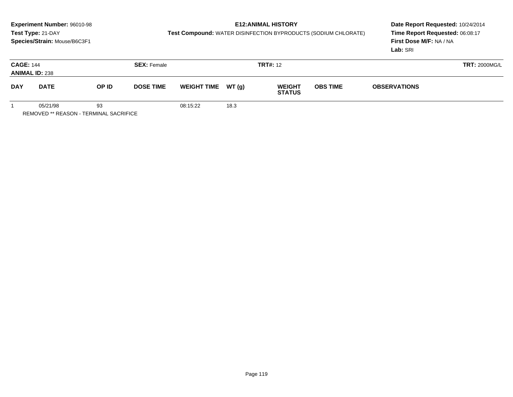# **E12:ANIMAL HISTORY**

**Test Compound:** WATER DISINFECTION BYPRODUCTS (SODIUM CHLORATE)

**Date Report Requested:** 10/24/2014 **Time Report Requested:** 06:08:17**First Dose M/F:** NA / NA**Lab:** SRI

| <b>CAGE: 144</b><br><b>ANIMAL ID: 238</b> |             | <b>SEX: Female</b> |                  |                     | <b>TRT#: 12</b> |                                |                 |                     | <b>TRT: 2000MG/L</b> |
|-------------------------------------------|-------------|--------------------|------------------|---------------------|-----------------|--------------------------------|-----------------|---------------------|----------------------|
| <b>DAY</b>                                | <b>DATE</b> | OP ID              | <b>DOSE TIME</b> | WEIGHT TIME $WT(g)$ |                 | <b>WEIGHT</b><br><b>STATUS</b> | <b>OBS TIME</b> | <b>OBSERVATIONS</b> |                      |
|                                           | 05/21/98    | 93                 |                  | 08:15:22            | 18.3            |                                |                 |                     |                      |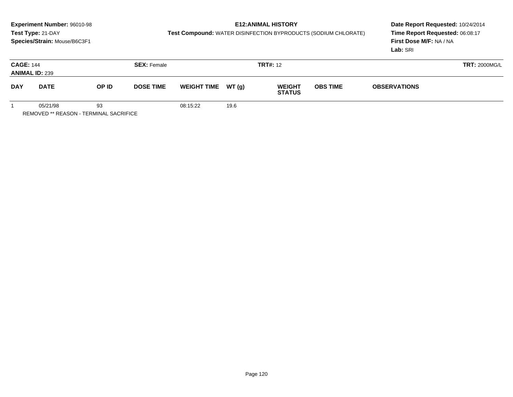# **E12:ANIMAL HISTORY**

**Test Compound:** WATER DISINFECTION BYPRODUCTS (SODIUM CHLORATE)

**Date Report Requested:** 10/24/2014 **Time Report Requested:** 06:08:17**First Dose M/F:** NA / NA**Lab:** SRI

| <b>CAGE: 144</b> | <b>ANIMAL ID: 239</b> | <b>SEX: Female</b> |                  |                     | <b>TRT#:</b> 12 |                                |                                        |  | <b>TRT: 2000MG/L</b> |
|------------------|-----------------------|--------------------|------------------|---------------------|-----------------|--------------------------------|----------------------------------------|--|----------------------|
| <b>DAY</b>       | <b>DATE</b>           | OP ID              | <b>DOSE TIME</b> | WEIGHT TIME $WT(g)$ |                 | <b>WEIGHT</b><br><b>STATUS</b> | <b>OBS TIME</b><br><b>OBSERVATIONS</b> |  |                      |
|                  | 05/21/98              | 93                 |                  | 08:15:22            | 19.6            |                                |                                        |  |                      |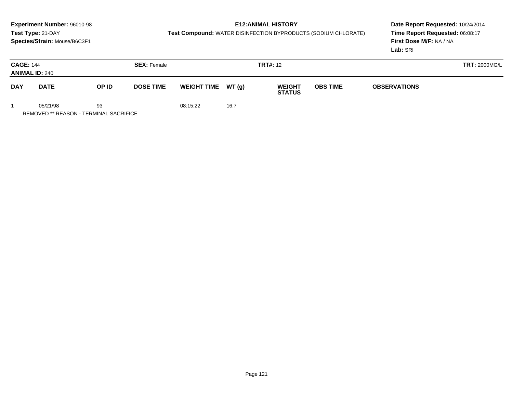# **E12:ANIMAL HISTORY**

**Test Compound:** WATER DISINFECTION BYPRODUCTS (SODIUM CHLORATE)

**Date Report Requested:** 10/24/2014 **Time Report Requested:** 06:08:17**First Dose M/F:** NA / NA**Lab:** SRI

| <b>CAGE: 144</b> | <b>ANIMAL ID: 240</b> | <b>SEX: Female</b> |                  |                    | <b>TRT#:</b> 12 |                                |                 |                     | <b>TRT: 2000MG/L</b> |
|------------------|-----------------------|--------------------|------------------|--------------------|-----------------|--------------------------------|-----------------|---------------------|----------------------|
| <b>DAY</b>       | <b>DATE</b>           | OP ID              | <b>DOSE TIME</b> | WEIGHT TIME WT (g) |                 | <b>WEIGHT</b><br><b>STATUS</b> | <b>OBS TIME</b> | <b>OBSERVATIONS</b> |                      |
|                  | 05/21/98              | 93                 |                  | 08:15:22           | 16.7            |                                |                 |                     |                      |